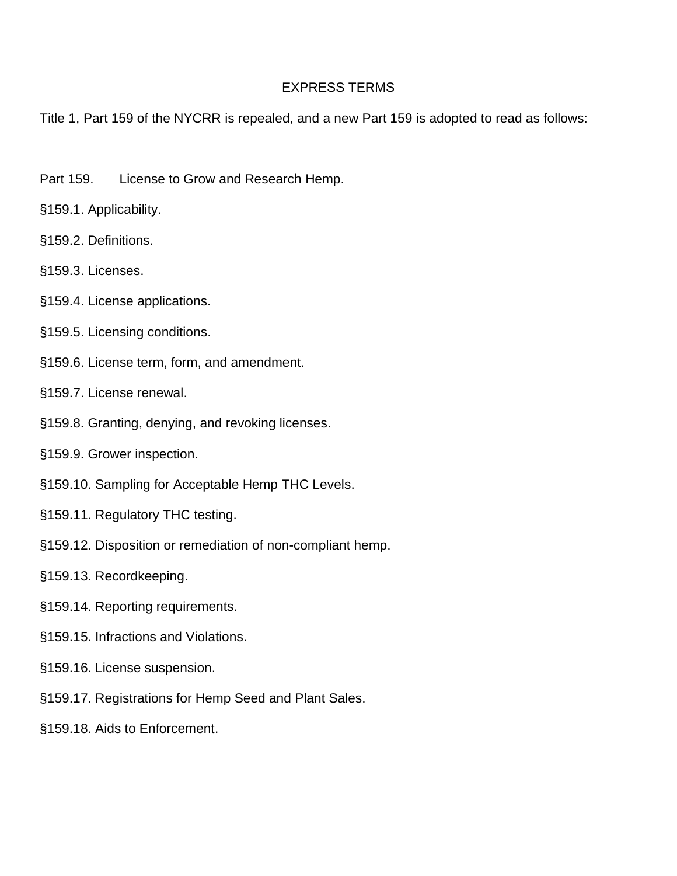# EXPRESS TERMS

Title 1, Part 159 of the NYCRR is repealed, and a new Part 159 is adopted to read as follows:

- Part 159. License to Grow and Research Hemp.
- §159.1. Applicability.
- §159.2. Definitions.
- §159.3. Licenses.
- §159.4. License applications.
- §159.5. Licensing conditions.
- §159.6. License term, form, and amendment.
- §159.7. License renewal.
- §159.8. Granting, denying, and revoking licenses.
- §159.9. Grower inspection.
- §159.10. Sampling for Acceptable Hemp THC Levels.
- §159.11. Regulatory THC testing.
- §159.12. Disposition or remediation of non-compliant hemp.
- §159.13. Recordkeeping.
- §159.14. Reporting requirements.
- §159.15. Infractions and Violations.
- §159.16. License suspension.
- §159.17. Registrations for Hemp Seed and Plant Sales.
- §159.18. Aids to Enforcement.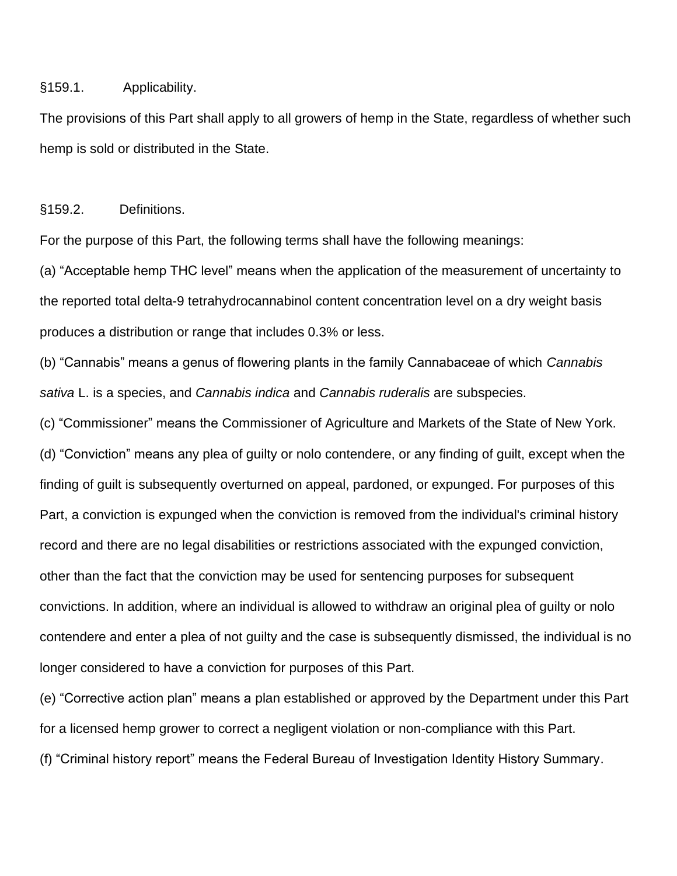## §159.1. Applicability.

The provisions of this Part shall apply to all growers of hemp in the State, regardless of whether such hemp is sold or distributed in the State.

# §159.2. Definitions.

For the purpose of this Part, the following terms shall have the following meanings:

(a) "Acceptable hemp THC level" means when the [application](https://www.law.cornell.edu/definitions/index.php?width=840&height=800&iframe=true&def_id=db5c2e4a449c32aa4b3f914f076104b6&term_occur=999&term_src=Title:7:Subtitle:B:Chapter:IX:Part:990:Subpart:A:990.1) of the [measurement of uncertainty](https://www.law.cornell.edu/definitions/index.php?width=840&height=800&iframe=true&def_id=01fbbfbf32d4ab6c9f345f335c3000b5&term_occur=999&term_src=Title:7:Subtitle:B:Chapter:IX:Part:990:Subpart:A:990.1) to the reported total delta-9 tetrahydrocannabinol content concentration level on a [dry weight basis](https://www.law.cornell.edu/definitions/index.php?width=840&height=800&iframe=true&def_id=4aa0e0cb1d5d9476c603f5afdc6eabbf&term_occur=999&term_src=Title:7:Subtitle:B:Chapter:IX:Part:990:Subpart:A:990.1) [produces](https://www.law.cornell.edu/definitions/index.php?width=840&height=800&iframe=true&def_id=7edfc112361db728895e308721166253&term_occur=999&term_src=Title:7:Subtitle:B:Chapter:IX:Part:990:Subpart:A:990.1) a distribution or range that includes 0.3% or less.

(b) "Cannabis" means a genus of flowering plants in the family Cannabaceae of which *Cannabis sativa* L. is a species, and *Cannabis indica* and *Cannabis ruderalis* are subspecies.

(c) "Commissioner" means the Commissioner of Agriculture and Markets of the State of New York. (d) "Conviction" means any plea of guilty or nolo contendere, or any finding of guilt, except when the finding of guilt is subsequently overturned on appeal, pardoned, or expunged. For purposes of this Part, a [conviction](https://www.law.cornell.edu/definitions/index.php?width=840&height=800&iframe=true&def_id=38720980bac8be17061bc22637a83d12&term_occur=999&term_src=Title:7:Subtitle:B:Chapter:IX:Part:990:Subpart:A:990.1) is expunged when the [conviction](https://www.law.cornell.edu/definitions/index.php?width=840&height=800&iframe=true&def_id=38720980bac8be17061bc22637a83d12&term_occur=999&term_src=Title:7:Subtitle:B:Chapter:IX:Part:990:Subpart:A:990.1) is removed from the individual's criminal history record and there are no legal disabilities or restrictions associated with the expunged [conviction,](https://www.law.cornell.edu/definitions/index.php?width=840&height=800&iframe=true&def_id=38720980bac8be17061bc22637a83d12&term_occur=999&term_src=Title:7:Subtitle:B:Chapter:IX:Part:990:Subpart:A:990.1) other than the fact that the [conviction](https://www.law.cornell.edu/definitions/index.php?width=840&height=800&iframe=true&def_id=38720980bac8be17061bc22637a83d12&term_occur=999&term_src=Title:7:Subtitle:B:Chapter:IX:Part:990:Subpart:A:990.1) may be used for sentencing purposes for subsequent convictions. In addition, where an individual is allowed to withdraw an original plea of guilty or nolo contendere and enter a plea of not guilty and the case is subsequently dismissed, the individual is no longer considered to have a [conviction](https://www.law.cornell.edu/definitions/index.php?width=840&height=800&iframe=true&def_id=38720980bac8be17061bc22637a83d12&term_occur=999&term_src=Title:7:Subtitle:B:Chapter:IX:Part:990:Subpart:A:990.1) for purposes of this Part.

(e) "Corrective action plan" means a [plan](https://www.law.cornell.edu/definitions/index.php?width=840&height=800&iframe=true&def_id=88d12ab9fed6a18232c4ac8439c5de17&term_occur=999&term_src=Title:7:Subtitle:B:Chapter:IX:Part:990:Subpart:A:990.1) established or approved by the Department under this Part for a licensed [hemp](https://www.law.cornell.edu/definitions/index.php?width=840&height=800&iframe=true&def_id=68224a2119bcb791d0edbd456e24ee16&term_occur=999&term_src=Title:7:Subtitle:B:Chapter:IX:Part:990:Subpart:A:990.1) grower to correct a negligent violation or non-compliance with this Part. (f) "Criminal history report" means the Federal Bureau of Investigation Identity History Summary.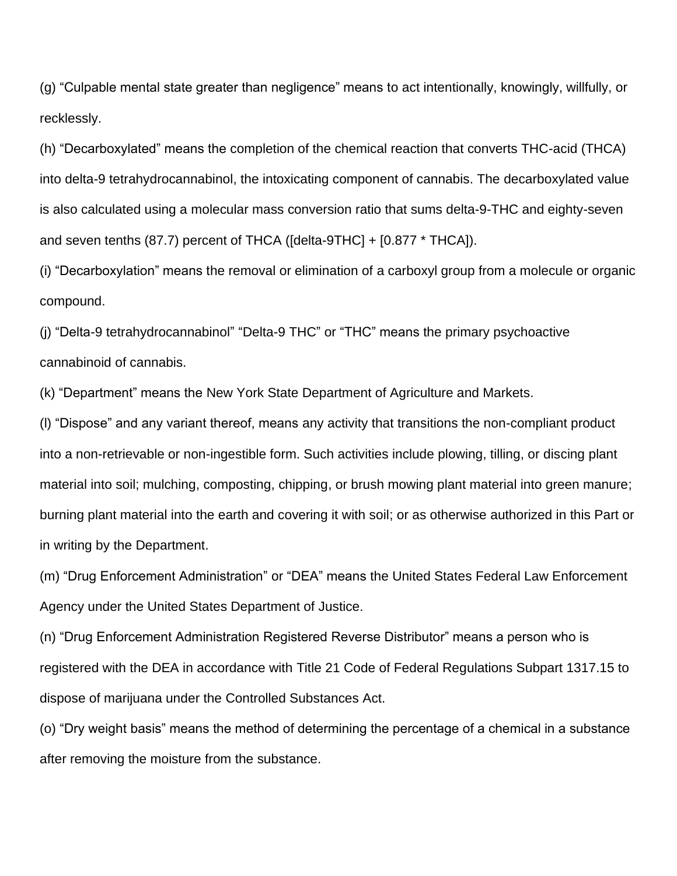(g) "Culpable mental state greater than negligence" means to [act](https://www.law.cornell.edu/definitions/index.php?width=840&height=800&iframe=true&def_id=6da6e4603766c1bc71e368bdb14c08eb&term_occur=999&term_src=Title:7:Subtitle:B:Chapter:IX:Part:990:Subpart:A:990.1) intentionally, knowingly, willfully, or recklessly.

(h) "Decarboxylated" means the completion of the chemical reaction that converts THC-acid (THCA) into delta-9 tetrahydrocannabinol, the intoxicating component of cannabis. The [decarboxylated](https://www.law.cornell.edu/definitions/index.php?width=840&height=800&iframe=true&def_id=e978be87f9bc6de2185eb21d121d8456&term_occur=999&term_src=Title:7:Subtitle:B:Chapter:IX:Part:990:Subpart:A:990.1) value is also calculated using a molecular mass conversion ratio that sums delta-9-THC and eighty-seven and seven tenths (87.7) percent of THCA ([delta-9THC] + [0.877 \* THCA]).

(i) "Decarboxylation" means the removal or elimination of a carboxyl group from a molecule or organic compound.

(j) "Delta-9 tetrahydrocannabinol" "Delta-9 THC" or "THC" means the primary psychoactive cannabinoid of cannabis.

(k) "Department" means the New York State Department of Agriculture and Markets.

(l) "Dispose" and any variant thereof, means any activity that transitions the non-compliant product into a non-retrievable or non-ingestible form. Such activities include plowing, tilling, or discing plant material into soil; mulching, composting, chipping, or brush mowing plant material into green manure; burning plant material into the earth and covering it with soil; or as otherwise authorized in this Part or in writing by the Department.

(m) "Drug Enforcement Administration" or "DEA" means the United States Federal Law Enforcement Agency under the United States Department of Justice.

(n) "Drug Enforcement Administration Registered Reverse Distributor" means a person who is registered with the DEA in accordance with Title 21 Code of Federal Regulations Subpart 1317.15 to dispose of marijuana under the Controlled Substances Act.

(o) "Dry weight basis" means the method of determining the percentage of a chemical in a substance after removing the moisture from the substance.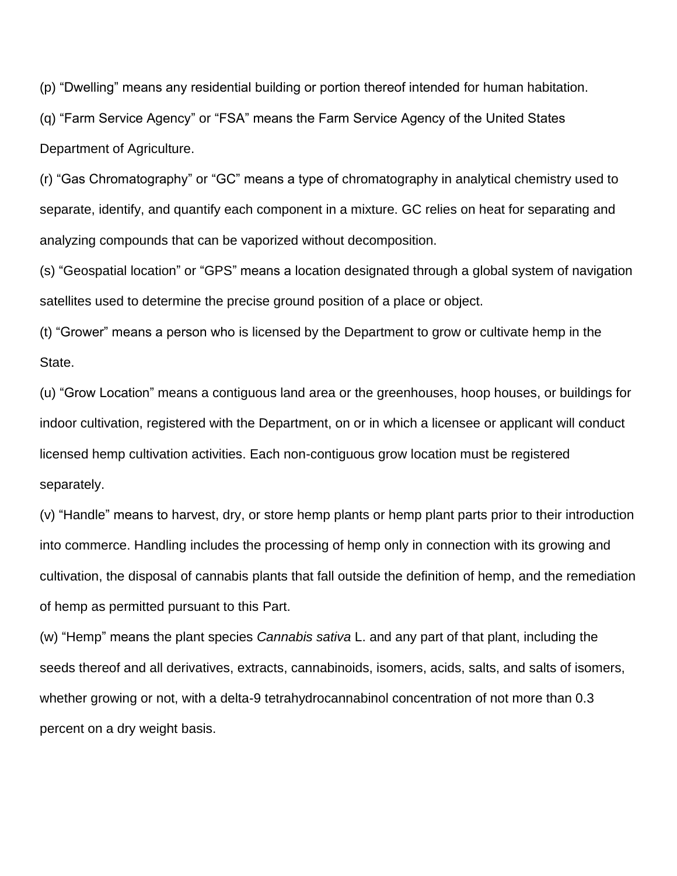(p) "Dwelling" means any residential building or portion thereof intended for human habitation.

(q) "Farm Service Agency" or "FSA" means the Farm Service Agency of the United States Department of Agriculture.

(r) "Gas Chromatography" or "GC" means a type of chromatography in analytical chemistry used to separate, identify, and quantify each component in a mixture. GC relies on heat for separating and analyzing compounds that can be vaporized without decomposition.

(s) "Geospatial location" or "GPS" means a location designated through a global system of navigation satellites used to determine the precise ground position of a place or object.

(t) "Grower" means a person who is licensed by the Department to grow or cultivate hemp in the State.

(u) "Grow Location" means a contiguous land area or the greenhouses, hoop houses, or buildings for indoor cultivation, registered with the Department, on or in which a licensee or applicant will conduct licensed hemp cultivation activities. Each non-contiguous grow location must be registered separately.

(v) "Handle" means to harvest, dry, or store [hemp](https://www.law.cornell.edu/definitions/index.php?width=840&height=800&iframe=true&def_id=68224a2119bcb791d0edbd456e24ee16&term_occur=999&term_src=Title:7:Subtitle:B:Chapter:IX:Part:990:Subpart:A:990.1) [plants](https://www.law.cornell.edu/definitions/index.php?width=840&height=800&iframe=true&def_id=4c8344a12b32bc8a5469a3c90584b4d9&term_occur=999&term_src=Title:7:Subtitle:B:Chapter:IX:Part:990:Subpart:A:990.1) or [hemp](https://www.law.cornell.edu/definitions/index.php?width=840&height=800&iframe=true&def_id=68224a2119bcb791d0edbd456e24ee16&term_occur=999&term_src=Title:7:Subtitle:B:Chapter:IX:Part:990:Subpart:A:990.1) [plant](https://www.law.cornell.edu/definitions/index.php?width=840&height=800&iframe=true&def_id=4c8344a12b32bc8a5469a3c90584b4d9&term_occur=999&term_src=Title:7:Subtitle:B:Chapter:IX:Part:990:Subpart:A:990.1) parts prior to their introduction into commerce. Handling includes the processing of hemp only in connection with its growing and cultivation, the disposal of cannabis [plants](https://www.law.cornell.edu/definitions/index.php?width=840&height=800&iframe=true&def_id=4c8344a12b32bc8a5469a3c90584b4d9&term_occur=999&term_src=Title:7:Subtitle:B:Chapter:IX:Part:990:Subpart:A:990.1) that fall outside the definition of hemp, and the remediation of hemp as permitted pursuant to this Part.

(w) "Hemp" means the [plant](https://www.law.cornell.edu/definitions/index.php?width=840&height=800&iframe=true&def_id=4c8344a12b32bc8a5469a3c90584b4d9&term_occur=999&term_src=Title:7:Subtitle:B:Chapter:IX:Part:990:Subpart:A:990.1) species *Cannabis sativa* L. and any part of that [plant,](https://www.law.cornell.edu/definitions/index.php?width=840&height=800&iframe=true&def_id=4c8344a12b32bc8a5469a3c90584b4d9&term_occur=999&term_src=Title:7:Subtitle:B:Chapter:IX:Part:990:Subpart:A:990.1) including the seeds thereof and all derivatives, extracts, cannabinoids, isomers, acids, salts, and salts of isomers, whether growing or not, with a delta-9 tetrahydrocannabinol concentration of not more than 0.3 percent on a [dry weight basis.](https://www.law.cornell.edu/definitions/index.php?width=840&height=800&iframe=true&def_id=4aa0e0cb1d5d9476c603f5afdc6eabbf&term_occur=999&term_src=Title:7:Subtitle:B:Chapter:IX:Part:990:Subpart:A:990.1)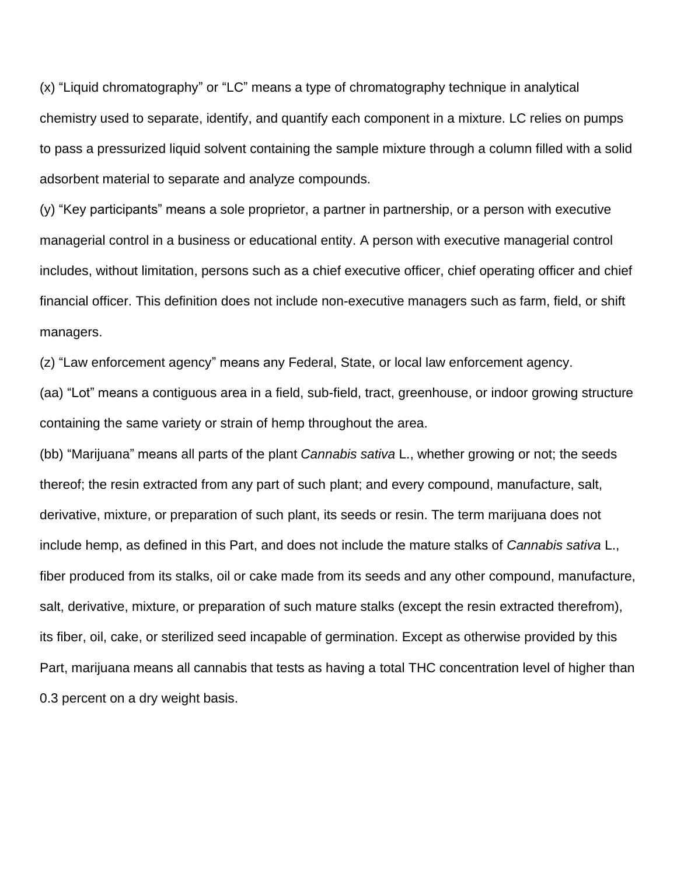(x) "Liquid chromatography" or "LC" means a type of chromatography technique in analytical chemistry used to separate, identify, and quantify each component in a mixture. LC relies on pumps to pass a pressurized liquid solvent containing the sample mixture through a column filled with a solid adsorbent material to separate and analyze compounds.

(y) "Key participants" means a sole proprietor, a partner in partnership, or a [person](https://www.law.cornell.edu/definitions/index.php?width=840&height=800&iframe=true&def_id=15f5ec7d6046e83609b7143389a17164&term_occur=999&term_src=Title:7:Subtitle:B:Chapter:IX:Part:990:Subpart:A:990.1) with executive managerial control in a business or educational entity. A [person](https://www.law.cornell.edu/definitions/index.php?width=840&height=800&iframe=true&def_id=15f5ec7d6046e83609b7143389a17164&term_occur=999&term_src=Title:7:Subtitle:B:Chapter:IX:Part:990:Subpart:A:990.1) with executive managerial control includes, without limitation, [persons](https://www.law.cornell.edu/definitions/index.php?width=840&height=800&iframe=true&def_id=15f5ec7d6046e83609b7143389a17164&term_occur=999&term_src=Title:7:Subtitle:B:Chapter:IX:Part:990:Subpart:A:990.1) such as a [chief](https://www.law.cornell.edu/definitions/index.php?width=840&height=800&iframe=true&def_id=173c0982697406ed51a0c4d4931eaae8&term_occur=999&term_src=Title:7:Subtitle:B:Chapter:IX:Part:990:Subpart:A:990.1) executive officer, [chief](https://www.law.cornell.edu/definitions/index.php?width=840&height=800&iframe=true&def_id=173c0982697406ed51a0c4d4931eaae8&term_occur=999&term_src=Title:7:Subtitle:B:Chapter:IX:Part:990:Subpart:A:990.1) operating officer and [chief](https://www.law.cornell.edu/definitions/index.php?width=840&height=800&iframe=true&def_id=173c0982697406ed51a0c4d4931eaae8&term_occur=999&term_src=Title:7:Subtitle:B:Chapter:IX:Part:990:Subpart:A:990.1) financial officer. This definition does not include non-executive managers such as farm, field, or shift managers.

(z) "Law enforcement agency" means any Federal, [State,](https://www.law.cornell.edu/definitions/index.php?width=840&height=800&iframe=true&def_id=7391e4bc920721e2881b44cd3795550f&term_occur=999&term_src=Title:7:Subtitle:B:Chapter:IX:Part:990:Subpart:A:990.1) or local [law enforcement agency.](https://www.law.cornell.edu/definitions/index.php?width=840&height=800&iframe=true&def_id=1f9ca67414e3d590fb619aad73edb7ea&term_occur=999&term_src=Title:7:Subtitle:B:Chapter:IX:Part:990:Subpart:A:990.1)

(aa) "Lot" means a contiguous area in a field, sub-field, tract, greenhouse, or indoor growing structure containing the same variety or strain of hemp throughout the area.

(bb) "Marijuana" means all parts of the [plant](https://www.law.cornell.edu/definitions/index.php?width=840&height=800&iframe=true&def_id=4c8344a12b32bc8a5469a3c90584b4d9&term_occur=999&term_src=Title:7:Subtitle:B:Chapter:IX:Part:990:Subpart:A:990.1) *Cannabis sativa* L., whether growing or not; the seeds thereof; the resin extracted from any part of such [plant;](https://www.law.cornell.edu/definitions/index.php?width=840&height=800&iframe=true&def_id=4c8344a12b32bc8a5469a3c90584b4d9&term_occur=999&term_src=Title:7:Subtitle:B:Chapter:IX:Part:990:Subpart:A:990.1) and every compound, manufacture, salt, derivative, mixture, or preparation of such [plant,](https://www.law.cornell.edu/definitions/index.php?width=840&height=800&iframe=true&def_id=4c8344a12b32bc8a5469a3c90584b4d9&term_occur=999&term_src=Title:7:Subtitle:B:Chapter:IX:Part:990:Subpart:A:990.1) its seeds or resin. The term marijuana does not include [hemp,](https://www.law.cornell.edu/definitions/index.php?width=840&height=800&iframe=true&def_id=68224a2119bcb791d0edbd456e24ee16&term_occur=999&term_src=Title:7:Subtitle:B:Chapter:IX:Part:990:Subpart:A:990.1) as defined in this Part, and does not include the mature stalks of *Cannabis sativa* L., fiber [produced](https://www.law.cornell.edu/definitions/index.php?width=840&height=800&iframe=true&def_id=7edfc112361db728895e308721166253&term_occur=999&term_src=Title:7:Subtitle:B:Chapter:IX:Part:990:Subpart:A:990.1) from its stalks, oil or cake made from its seeds and any other compound, manufacture, salt, derivative, mixture, or preparation of such mature stalks (except the resin extracted therefrom), its fiber, oil, cake, or sterilized seed incapable of germination. Except as otherwise provided by this Part, marijuana means all cannabis that tests as having a total THC concentration level of higher than 0.3 percent on a dry weight basis.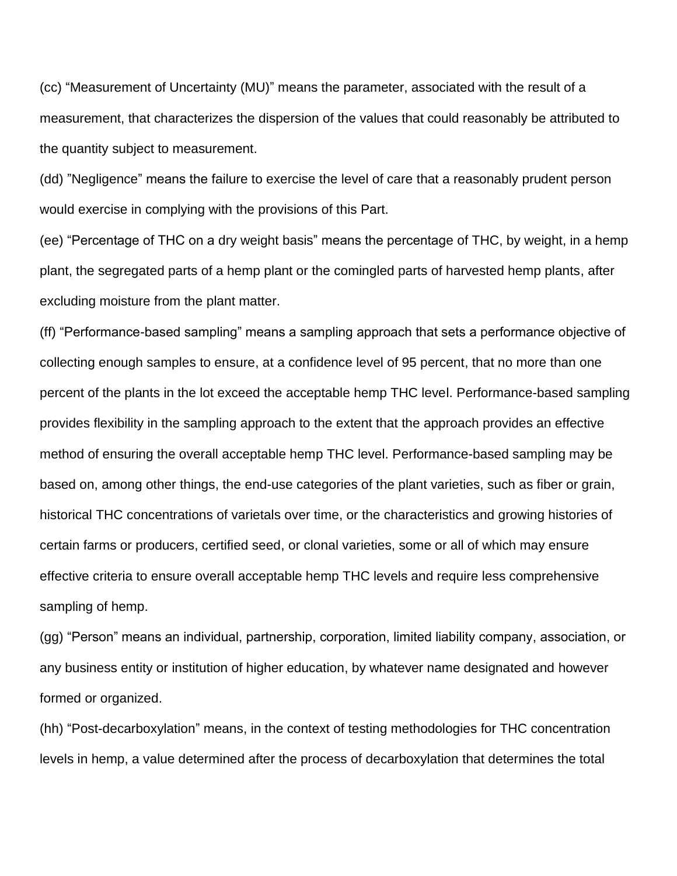(cc) "Measurement of Uncertainty (MU)" means the parameter, associated with the result of a measurement, that characterizes the dispersion of the values that could reasonably be attributed to the quantity subject to measurement.

(dd) "Negligence" means the failure to exercise the level of care that a reasonably prudent [person](https://www.law.cornell.edu/definitions/index.php?width=840&height=800&iframe=true&def_id=15f5ec7d6046e83609b7143389a17164&term_occur=999&term_src=Title:7:Subtitle:B:Chapter:IX:Part:990:Subpart:A:990.1) would exercise in complying with the provisions of this Part.

(ee) "Percentage of THC on a [dry weight basis"](https://www.law.cornell.edu/definitions/index.php?width=840&height=800&iframe=true&def_id=4aa0e0cb1d5d9476c603f5afdc6eabbf&term_occur=999&term_src=Title:7:Subtitle:B:Chapter:IX:Part:990:Subpart:A:990.1) means the percentage of THC, by weight, in a hemp plant, the segregated parts of a hemp plant or the comingled parts of harvested hemp plants, after excluding moisture from the plant matter.

(ff) "Performance-based sampling" means a sampling approach that sets a performance objective of collecting enough samples to ensure, at a confidence level of 95 percent, that no more than one percent of the plants in the lot exceed the acceptable hemp THC level. Performance-based sampling provides flexibility in the sampling approach to the extent that the approach provides an effective method of ensuring the overall acceptable hemp THC level. Performance-based sampling may be based on, among other things, the end-use categories of the plant varieties, such as fiber or grain, historical THC concentrations of varietals over time, or the characteristics and growing histories of certain farms or producers, certified seed, or clonal varieties, some or all of which may ensure effective criteria to ensure overall acceptable hemp THC levels and require less comprehensive sampling of hemp.

(gg) "Person" means an individual, partnership, corporation, limited liability company, association, or any business entity or institution of higher education, by whatever name designated and however formed or organized.

(hh) "Post-decarboxylation" means, in the context of testing methodologies for THC concentration levels in [hemp,](https://www.law.cornell.edu/definitions/index.php?width=840&height=800&iframe=true&def_id=68224a2119bcb791d0edbd456e24ee16&term_occur=999&term_src=Title:7:Subtitle:B:Chapter:IX:Part:990:Subpart:A:990.1) a value determined after the process of [decarboxylation](https://www.law.cornell.edu/definitions/index.php?width=840&height=800&iframe=true&def_id=299ead50498e6c52c5fe5c1153f74671&term_occur=999&term_src=Title:7:Subtitle:B:Chapter:IX:Part:990:Subpart:A:990.1) that determines the total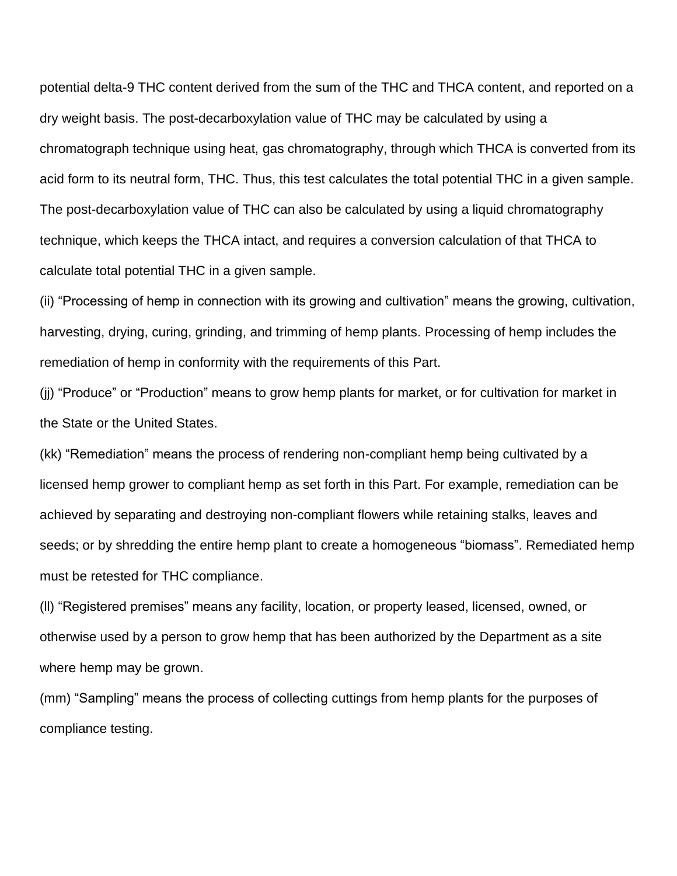potential delta-9 THC content derived from the sum of the THC and THCA content, and reported on a [dry weight basis.](https://www.law.cornell.edu/definitions/index.php?width=840&height=800&iframe=true&def_id=4aa0e0cb1d5d9476c603f5afdc6eabbf&term_occur=999&term_src=Title:7:Subtitle:B:Chapter:IX:Part:990:Subpart:A:990.1) The [post-decarboxylation](https://protect2.fireeye.com/v1/url?k=b3e6a3b7-ef6791d4-b3e45a82-000babd9069e-6211dd96aeb32bb6&q=1&e=82773302-c0ed-4fd2-a97d-5ceb2f7753e1&u=https%3A%2F%2Fwww.law.cornell.edu%2Fdefinitions%2Findex.php%3Fwidth%3D840%26height%3D800%26iframe%3Dtrue%26def_id%3Da5dd42174ce14571bd72f154625d83c6%26term_occur%3D999%26term_src%3DTitle%3A7%3ASubtitle%3AB%3AChapter%3AIX%3APart%3A990%3ASubpart%3AA%3A990.1) value of THC may be calculated by using a chromatograph technique using heat, [gas chromatography,](https://protect2.fireeye.com/v1/url?k=f6d05ba5-aa5169c6-f6d2a290-000babd9069e-5f37aca4f4d1313c&q=1&e=82773302-c0ed-4fd2-a97d-5ceb2f7753e1&u=https%3A%2F%2Fwww.law.cornell.edu%2Fdefinitions%2Findex.php%3Fwidth%3D840%26height%3D800%26iframe%3Dtrue%26def_id%3D3980c878a4e0110cebb2b5a1c2de9f14%26term_occur%3D999%26term_src%3DTitle%3A7%3ASubtitle%3AB%3AChapter%3AIX%3APart%3A990%3ASubpart%3AA%3A990.1) through which THCA is converted from its [acid](https://protect2.fireeye.com/v1/url?k=a37a8698-fffbb4fb-a3787fad-000babd9069e-7511789869b1240a&q=1&e=82773302-c0ed-4fd2-a97d-5ceb2f7753e1&u=https%3A%2F%2Fwww.law.cornell.edu%2Fdefinitions%2Findex.php%3Fwidth%3D840%26height%3D800%26iframe%3Dtrue%26def_id%3D7cb1d7b4bbe447fc24493fdd664b4181%26term_occur%3D999%26term_src%3DTitle%3A7%3ASubtitle%3AB%3AChapter%3AIX%3APart%3A990%3ASubpart%3AA%3A990.1) form to its neutral form, THC. Thus, this test calculates the total potential THC in a given sample. The [post-decarboxylation](https://protect2.fireeye.com/v1/url?k=8584c450-d905f633-85863d65-000babd9069e-6a9c927e2194b02f&q=1&e=82773302-c0ed-4fd2-a97d-5ceb2f7753e1&u=https%3A%2F%2Fwww.law.cornell.edu%2Fdefinitions%2Findex.php%3Fwidth%3D840%26height%3D800%26iframe%3Dtrue%26def_id%3Da5dd42174ce14571bd72f154625d83c6%26term_occur%3D999%26term_src%3DTitle%3A7%3ASubtitle%3AB%3AChapter%3AIX%3APart%3A990%3ASubpart%3AA%3A990.1) value of THC can also be calculated by using a liquid chromatography technique, which keeps the THCA intact, and requires a conversion calculation of that THCA to calculate total potential THC in a given sample.

(ii) "Processing of hemp in connection with its growing and cultivation" means the growing, cultivation, harvesting, drying, curing, grinding, and trimming of hemp plants. Processing of hemp includes the remediation of hemp in conformity with the requirements of this Part.

(jj) "Produce" or "Production" means to grow [hemp](https://www.law.cornell.edu/definitions/index.php?width=840&height=800&iframe=true&def_id=68224a2119bcb791d0edbd456e24ee16&term_occur=999&term_src=Title:7:Subtitle:B:Chapter:IX:Part:990:Subpart:A:990.1) [plants](https://www.law.cornell.edu/definitions/index.php?width=840&height=800&iframe=true&def_id=4c8344a12b32bc8a5469a3c90584b4d9&term_occur=999&term_src=Title:7:Subtitle:B:Chapter:IX:Part:990:Subpart:A:990.1) for market, or for cultivation for market in the State or the [United States.](https://www.law.cornell.edu/definitions/index.php?width=840&height=800&iframe=true&def_id=d503469ca86852d372057857456b16dc&term_occur=999&term_src=Title:7:Subtitle:B:Chapter:IX:Part:990:Subpart:A:990.1)

(kk) "Remediation" means the process of rendering non-compliant hemp being cultivated by a licensed hemp grower to compliant hemp as set forth in this Part. For example, remediation can be achieved by separating and destroying non-compliant flowers while retaining stalks, leaves and seeds; or by shredding the entire hemp plant to create a homogeneous "biomass". Remediated hemp must be retested for THC compliance.

(ll) "Registered premises" means any facility, location, or property leased, licensed, owned, or otherwise used by a person to grow hemp that has been authorized by the Department as a site where hemp may be grown.

(mm) "Sampling" means the process of collecting cuttings from hemp plants for the purposes of compliance testing.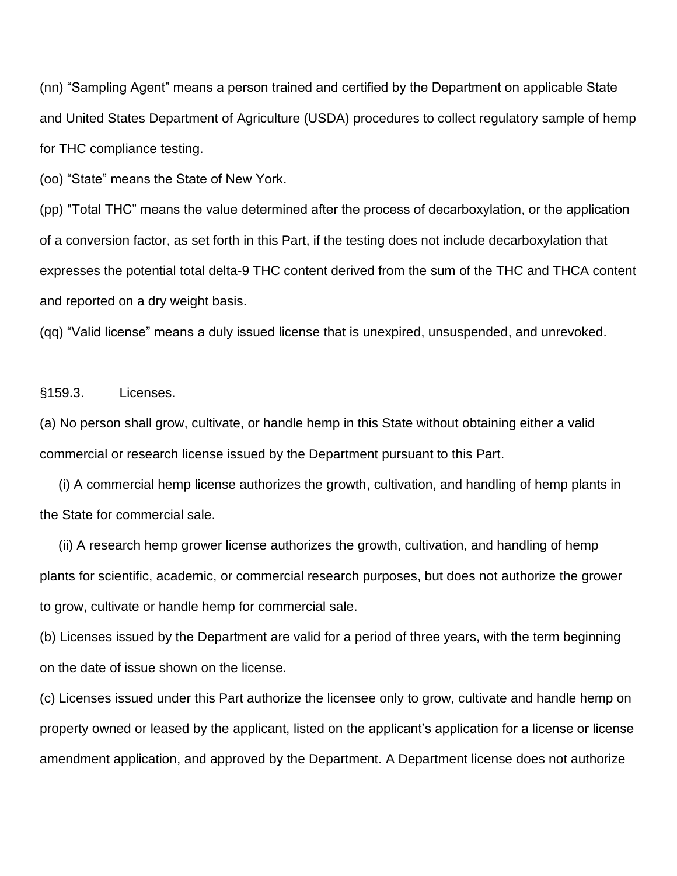(nn) "Sampling Agent" means a person trained and certified by the Department on applicable State and United States Department of Agriculture (USDA) procedures to collect regulatory sample of hemp for THC compliance testing.

(oo) "State" means the State of New York.

(pp) "Total THC" means the value determined after the process of decarboxylation, or the application of a conversion factor, as set forth in this Part, if the testing does not include decarboxylation that expresses the potential total delta-9 THC content derived from the sum of the THC and THCA content and reported on a dry weight basis.

(qq) "Valid license" means a duly issued license that is unexpired, unsuspended, and unrevoked.

§159.3. Licenses.

(a) No person shall grow, cultivate, or handle hemp in this State without obtaining either a valid commercial or research license issued by the Department pursuant to this Part.

 (i) A commercial hemp license authorizes the growth, cultivation, and handling of hemp plants in the State for commercial sale.

 (ii) A research hemp grower license authorizes the growth, cultivation, and handling of hemp plants for scientific, academic, or commercial research purposes, but does not authorize the grower to grow, cultivate or handle hemp for commercial sale.

(b) Licenses issued by the Department are valid for a period of three years, with the term beginning on the date of issue shown on the license.

(c) Licenses issued under this Part authorize the licensee only to grow, cultivate and handle hemp on property owned or leased by the applicant, listed on the applicant's application for a license or license amendment application, and approved by the Department. A Department license does not authorize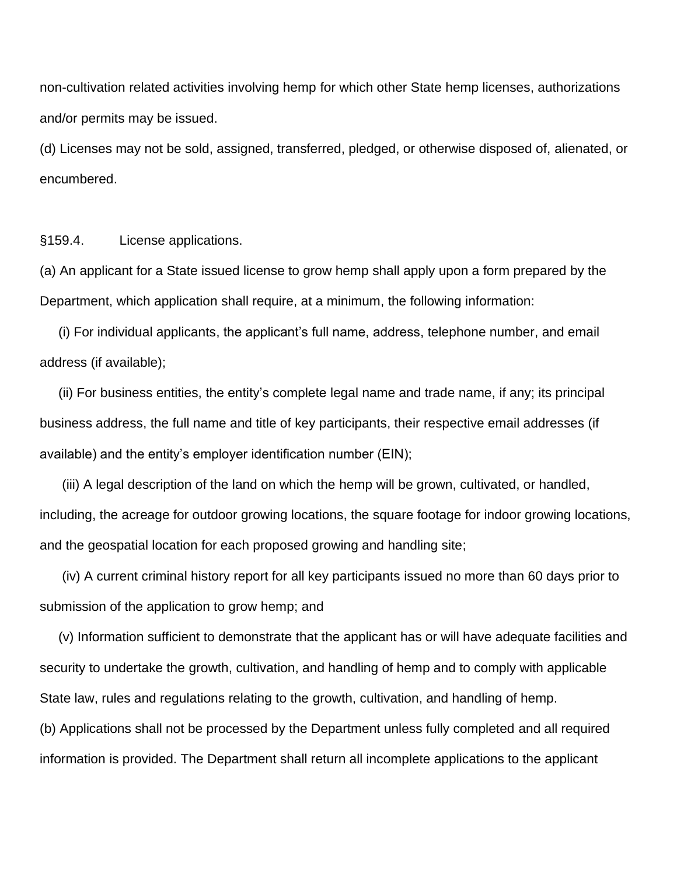non-cultivation related activities involving hemp for which other State hemp licenses, authorizations and/or permits may be issued.

(d) Licenses may not be sold, assigned, transferred, pledged, or otherwise disposed of, alienated, or encumbered.

§159.4. License applications.

(a) An applicant for a State issued license to grow hemp shall apply upon a form prepared by the Department, which application shall require, at a minimum, the following information:

 (i) For individual applicants, the applicant's full name, address, telephone number, and email address (if available);

 (ii) For business entities, the entity's complete legal name and trade name, if any; its principal business address, the full name and title of key participants, their respective email addresses (if available) and the entity's employer identification number (EIN);

 (iii) A legal description of the land on which the hemp will be grown, cultivated, or handled, including, the acreage for outdoor growing locations, the square footage for indoor growing locations, and the geospatial location for each proposed growing and handling site;

 (iv) A current criminal history report for all key participants issued no more than 60 days prior to submission of the application to grow hemp; and

 (v) Information sufficient to demonstrate that the applicant has or will have adequate facilities and security to undertake the growth, cultivation, and handling of hemp and to comply with applicable State law, rules and regulations relating to the growth, cultivation, and handling of hemp.

(b) Applications shall not be processed by the Department unless fully completed and all required information is provided. The Department shall return all incomplete applications to the applicant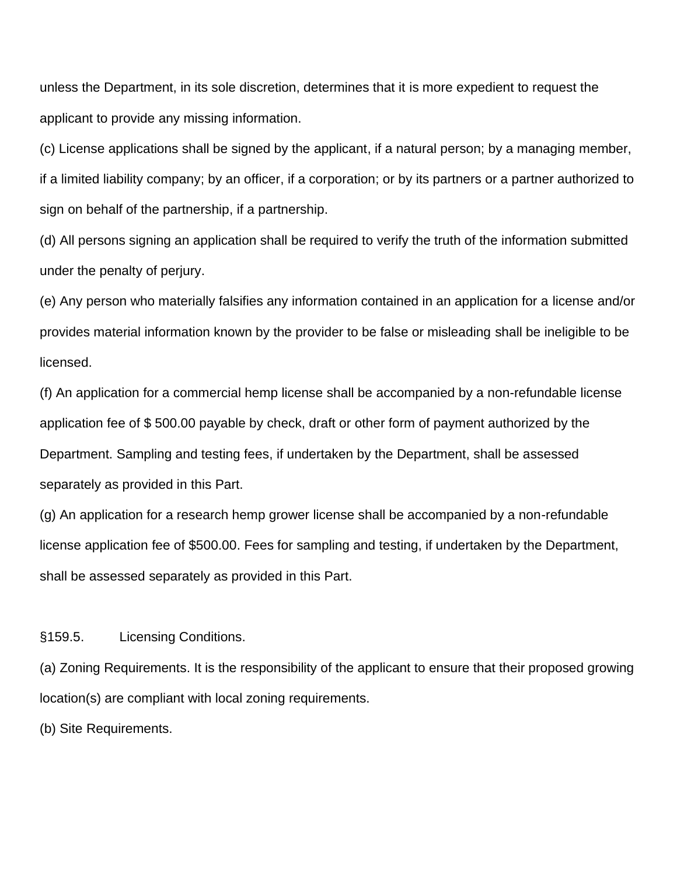unless the Department, in its sole discretion, determines that it is more expedient to request the applicant to provide any missing information.

(c) License applications shall be signed by the applicant, if a natural person; by a managing member, if a limited liability company; by an officer, if a corporation; or by its partners or a partner authorized to sign on behalf of the partnership, if a partnership.

(d) All persons signing an application shall be required to verify the truth of the information submitted under the penalty of perjury.

(e) Any person who materially falsifies any information contained in an application for a license and/or provides material information known by the provider to be false or misleading shall be ineligible to be licensed.

(f) An application for a commercial hemp license shall be accompanied by a non-refundable license application fee of \$ 500.00 payable by check, draft or other form of payment authorized by the Department. Sampling and testing fees, if undertaken by the Department, shall be assessed separately as provided in this Part.

(g) An application for a research hemp grower license shall be accompanied by a non-refundable license application fee of \$500.00. Fees for sampling and testing, if undertaken by the Department, shall be assessed separately as provided in this Part.

§159.5. Licensing Conditions.

(a) Zoning Requirements. It is the responsibility of the applicant to ensure that their proposed growing location(s) are compliant with local zoning requirements.

(b) Site Requirements.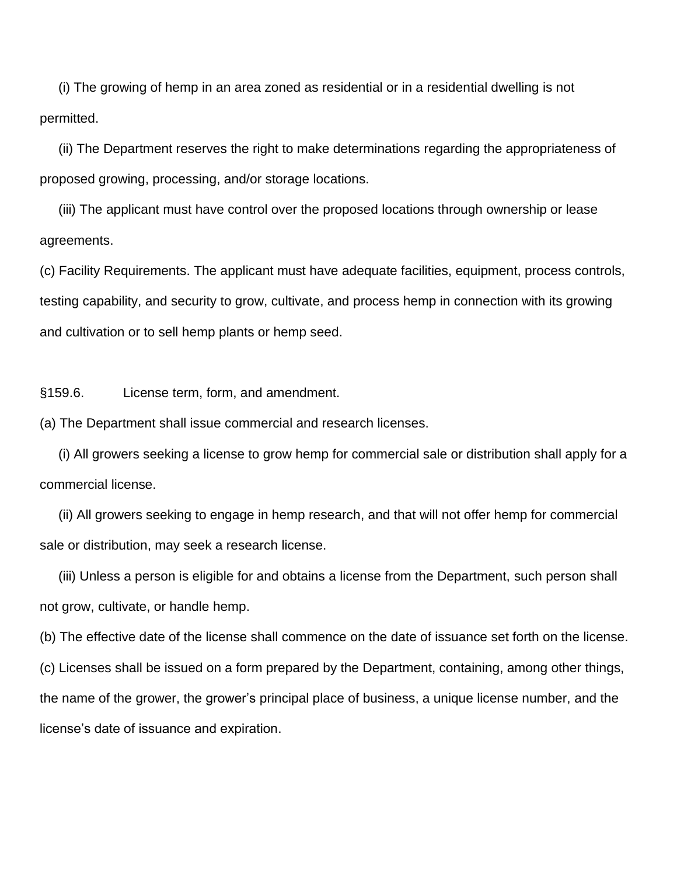(i) The growing of hemp in an area zoned as residential or in a residential dwelling is not permitted.

 (ii) The Department reserves the right to make determinations regarding the appropriateness of proposed growing, processing, and/or storage locations.

 (iii) The applicant must have control over the proposed locations through ownership or lease agreements.

(c) Facility Requirements. The applicant must have adequate facilities, equipment, process controls, testing capability, and security to grow, cultivate, and process hemp in connection with its growing and cultivation or to sell hemp plants or hemp seed.

§159.6. License term, form, and amendment.

(a) The Department shall issue commercial and research licenses.

 (i) All growers seeking a license to grow hemp for commercial sale or distribution shall apply for a commercial license.

 (ii) All growers seeking to engage in hemp research, and that will not offer hemp for commercial sale or distribution, may seek a research license.

 (iii) Unless a person is eligible for and obtains a license from the Department, such person shall not grow, cultivate, or handle hemp.

(b) The effective date of the license shall commence on the date of issuance set forth on the license. (c) Licenses shall be issued on a form prepared by the Department, containing, among other things, the name of the grower, the grower's principal place of business, a unique license number, and the license's date of issuance and expiration.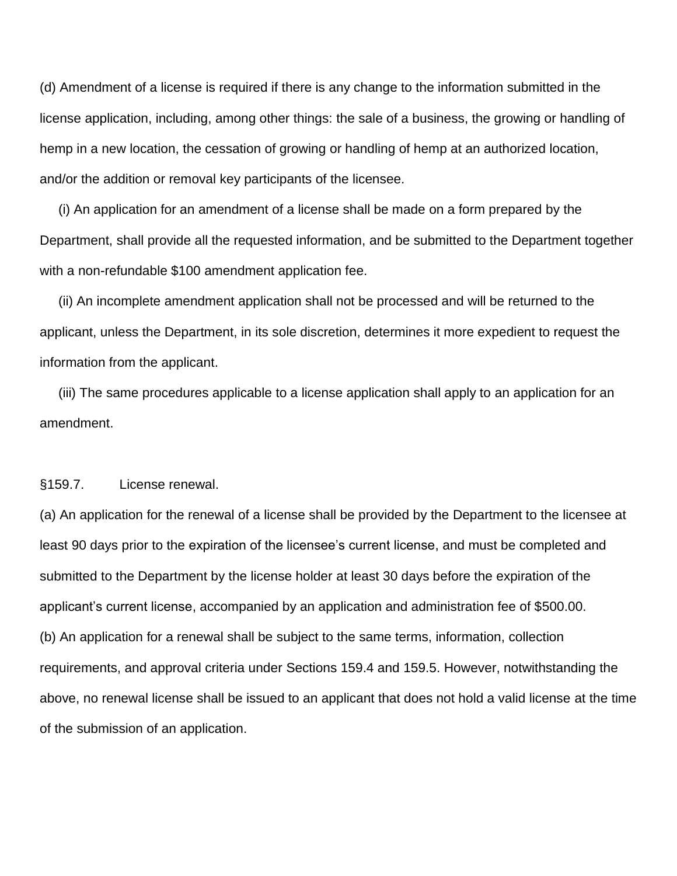(d) Amendment of a license is required if there is any change to the information submitted in the license application, including, among other things: the sale of a business, the growing or handling of hemp in a new location, the cessation of growing or handling of hemp at an authorized location, and/or the addition or removal key participants of the licensee.

 (i) An application for an amendment of a license shall be made on a form prepared by the Department, shall provide all the requested information, and be submitted to the Department together with a non-refundable \$100 amendment application fee.

 (ii) An incomplete amendment application shall not be processed and will be returned to the applicant, unless the Department, in its sole discretion, determines it more expedient to request the information from the applicant.

 (iii) The same procedures applicable to a license application shall apply to an application for an amendment.

§159.7. License renewal.

(a) An application for the renewal of a license shall be provided by the Department to the licensee at least 90 days prior to the expiration of the licensee's current license, and must be completed and submitted to the Department by the license holder at least 30 days before the expiration of the applicant's current license, accompanied by an application and administration fee of \$500.00. (b) An application for a renewal shall be subject to the same terms, information, collection requirements, and approval criteria under Sections 159.4 and 159.5. However, notwithstanding the above, no renewal license shall be issued to an applicant that does not hold a valid license at the time of the submission of an application.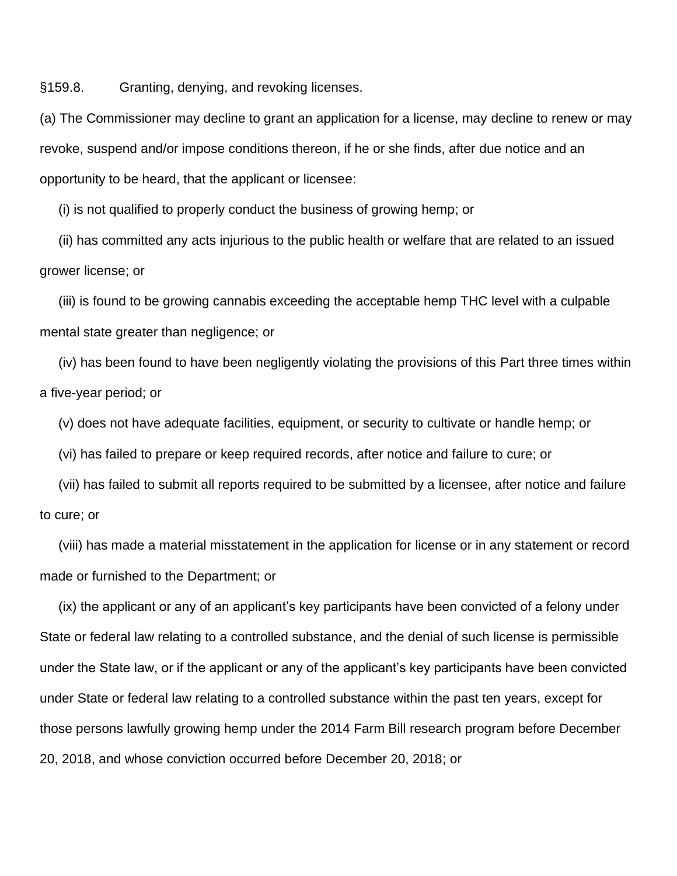§159.8. Granting, denying, and revoking licenses.

(a) The Commissioner may decline to grant an application for a license, may decline to renew or may revoke, suspend and/or impose conditions thereon, if he or she finds, after due notice and an opportunity to be heard, that the applicant or licensee:

(i) is not qualified to properly conduct the business of growing hemp; or

 (ii) has committed any acts injurious to the public health or welfare that are related to an issued grower license; or

 (iii) is found to be growing cannabis exceeding the acceptable hemp THC level with a culpable mental state greater than negligence; or

 (iv) has been found to have been negligently violating the provisions of this Part three times within a five-year period; or

(v) does not have adequate facilities, equipment, or security to cultivate or handle hemp; or

(vi) has failed to prepare or keep required records, after notice and failure to cure; or

 (vii) has failed to submit all reports required to be submitted by a licensee, after notice and failure to cure; or

 (viii) has made a material misstatement in the application for license or in any statement or record made or furnished to the Department; or

 (ix) the applicant or any of an applicant's key participants have been convicted of a felony under State or federal law relating to a controlled substance, and the denial of such license is permissible under the State law, or if the applicant or any of the applicant's key participants have been convicted under State or federal law relating to a controlled substance within the past ten years, except for those persons lawfully growing hemp under the 2014 Farm Bill research program before December 20, 2018, and whose conviction occurred before December 20, 2018; or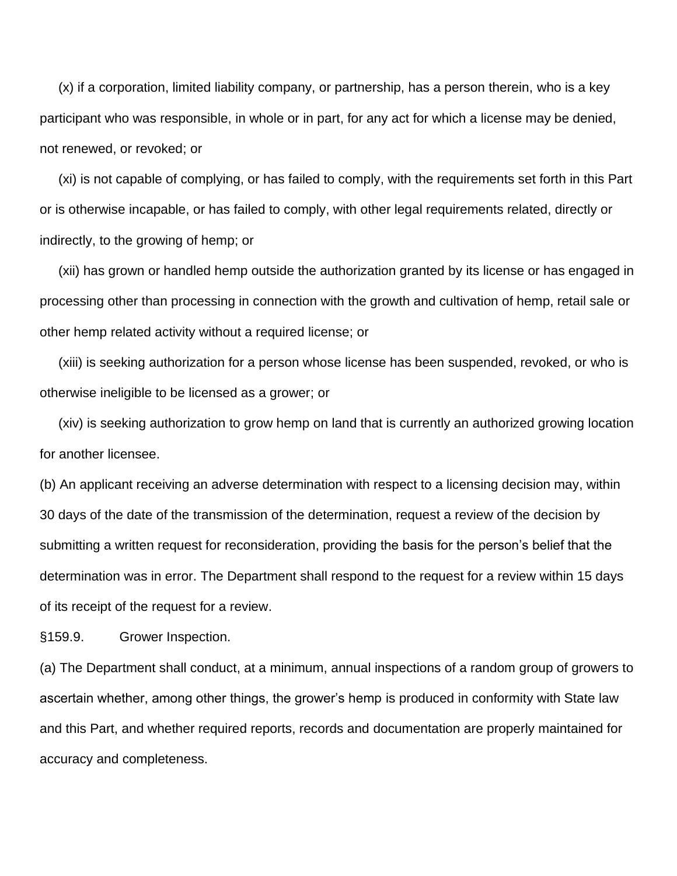(x) if a corporation, limited liability company, or partnership, has a person therein, who is a key participant who was responsible, in whole or in part, for any act for which a license may be denied, not renewed, or revoked; or

 (xi) is not capable of complying, or has failed to comply, with the requirements set forth in this Part or is otherwise incapable, or has failed to comply, with other legal requirements related, directly or indirectly, to the growing of hemp; or

 (xii) has grown or handled hemp outside the authorization granted by its license or has engaged in processing other than processing in connection with the growth and cultivation of hemp, retail sale or other hemp related activity without a required license; or

 (xiii) is seeking authorization for a person whose license has been suspended, revoked, or who is otherwise ineligible to be licensed as a grower; or

 (xiv) is seeking authorization to grow hemp on land that is currently an authorized growing location for another licensee.

(b) An applicant receiving an adverse determination with respect to a licensing decision may, within 30 days of the date of the transmission of the determination, request a review of the decision by submitting a written request for reconsideration, providing the basis for the person's belief that the determination was in error. The Department shall respond to the request for a review within 15 days of its receipt of the request for a review.

§159.9. Grower Inspection.

(a) The Department shall conduct, at a minimum, annual inspections of a random group of growers to ascertain whether, among other things, the grower's hemp is produced in conformity with State law and this Part, and whether required reports, records and documentation are properly maintained for accuracy and completeness.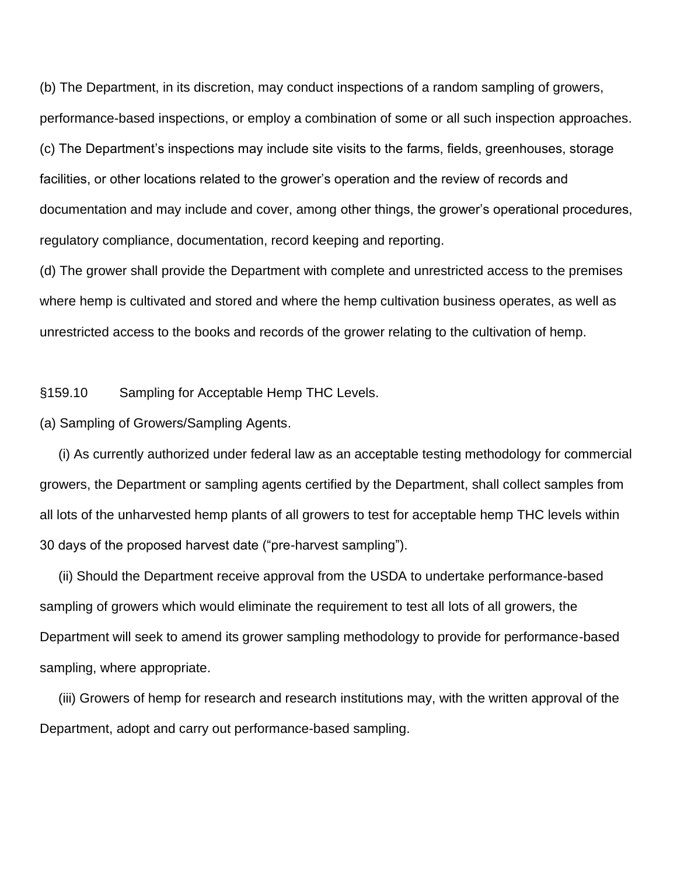(b) The Department, in its discretion, may conduct inspections of a random sampling of growers, performance-based inspections, or employ a combination of some or all such inspection approaches. (c) The Department's inspections may include site visits to the farms, fields, greenhouses, storage facilities, or other locations related to the grower's operation and the review of records and documentation and may include and cover, among other things, the grower's operational procedures, regulatory compliance, documentation, record keeping and reporting.

(d) The grower shall provide the Department with complete and unrestricted access to the premises where hemp is cultivated and stored and where the hemp cultivation business operates, as well as unrestricted access to the books and records of the grower relating to the cultivation of hemp.

§159.10 Sampling for Acceptable Hemp THC Levels.

(a) Sampling of Growers/Sampling Agents.

 (i) As currently authorized under federal law as an acceptable testing methodology for commercial growers, the Department or sampling agents certified by the Department, shall collect samples from all lots of the unharvested hemp plants of all growers to test for acceptable hemp THC levels within 30 days of the proposed harvest date ("pre-harvest sampling").

 (ii) Should the Department receive approval from the USDA to undertake performance-based sampling of growers which would eliminate the requirement to test all lots of all growers, the Department will seek to amend its grower sampling methodology to provide for performance-based sampling, where appropriate.

 (iii) Growers of hemp for research and research institutions may, with the written approval of the Department, adopt and carry out performance-based sampling.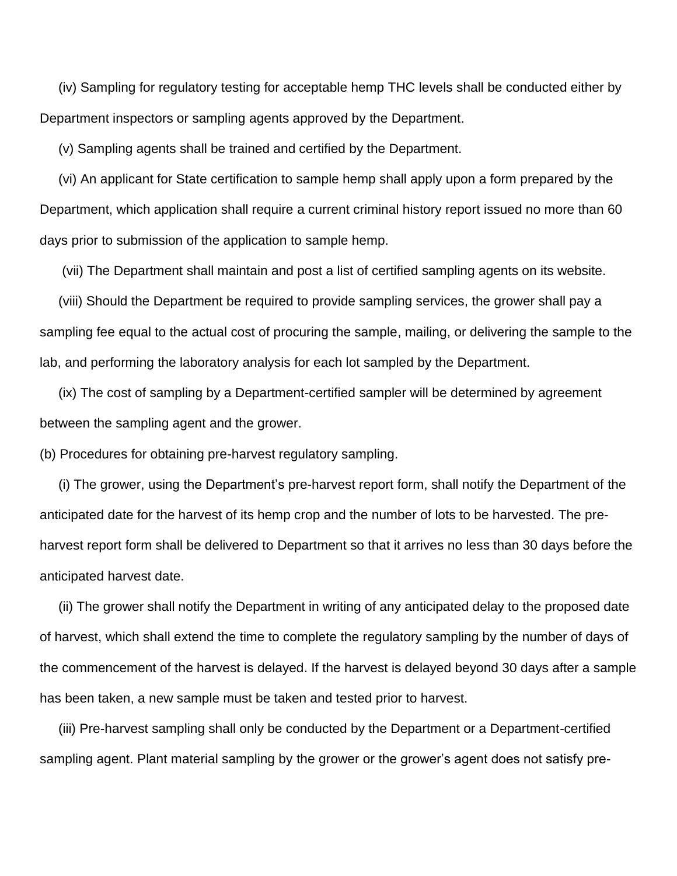(iv) Sampling for regulatory testing for acceptable hemp THC levels shall be conducted either by Department inspectors or sampling agents approved by the Department.

(v) Sampling agents shall be trained and certified by the Department.

 (vi) An applicant for State certification to sample hemp shall apply upon a form prepared by the Department, which application shall require a current criminal history report issued no more than 60 days prior to submission of the application to sample hemp.

(vii) The Department shall maintain and post a list of certified sampling agents on its website.

 (viii) Should the Department be required to provide sampling services, the grower shall pay a sampling fee equal to the actual cost of procuring the sample, mailing, or delivering the sample to the lab, and performing the laboratory analysis for each lot sampled by the Department.

 (ix) The cost of sampling by a Department-certified sampler will be determined by agreement between the sampling agent and the grower.

(b) Procedures for obtaining pre-harvest regulatory sampling.

 (i) The grower, using the Department's pre-harvest report form, shall notify the Department of the anticipated date for the harvest of its hemp crop and the number of lots to be harvested. The preharvest report form shall be delivered to Department so that it arrives no less than 30 days before the anticipated harvest date.

 (ii) The grower shall notify the Department in writing of any anticipated delay to the proposed date of harvest, which shall extend the time to complete the regulatory sampling by the number of days of the commencement of the harvest is delayed. If the harvest is delayed beyond 30 days after a sample has been taken, a new sample must be taken and tested prior to harvest.

 (iii) Pre-harvest sampling shall only be conducted by the Department or a Department-certified sampling agent. Plant material sampling by the grower or the grower's agent does not satisfy pre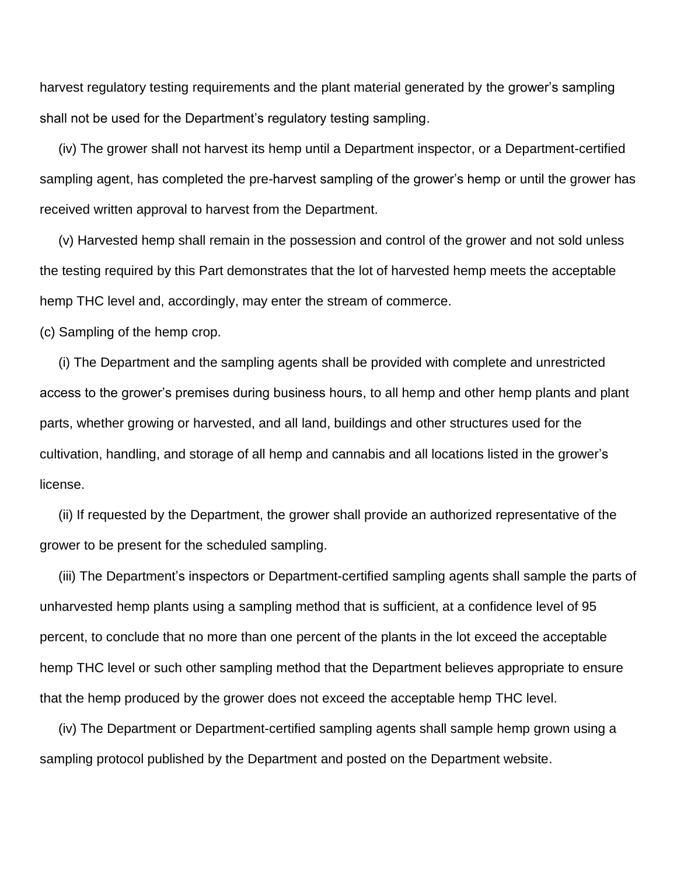harvest regulatory testing requirements and the plant material generated by the grower's sampling shall not be used for the Department's regulatory testing sampling.

 (iv) The grower shall not harvest its hemp until a Department inspector, or a Department-certified sampling agent, has completed the pre-harvest sampling of the grower's hemp or until the grower has received written approval to harvest from the Department.

 (v) Harvested hemp shall remain in the possession and control of the grower and not sold unless the testing required by this Part demonstrates that the lot of harvested hemp meets the acceptable hemp THC level and, accordingly, may enter the stream of commerce.

(c) Sampling of the hemp crop.

 (i) The Department and the sampling agents shall be provided with complete and unrestricted access to the grower's premises during business hours, to all hemp and other hemp plants and plant parts, whether growing or harvested, and all land, buildings and other structures used for the cultivation, handling, and storage of all hemp and cannabis and all locations listed in the grower's license.

 (ii) If requested by the Department, the grower shall provide an authorized representative of the grower to be present for the scheduled sampling.

 (iii) The Department's inspectors or Department-certified sampling agents shall sample the parts of unharvested hemp plants using a sampling method that is sufficient, at a confidence level of 95 percent, to conclude that no more than one percent of the plants in the lot exceed the acceptable hemp THC level or such other sampling method that the Department believes appropriate to ensure that the hemp produced by the grower does not exceed the acceptable hemp THC level.

 (iv) The Department or Department-certified sampling agents shall sample hemp grown using a sampling protocol published by the Department and posted on the Department website.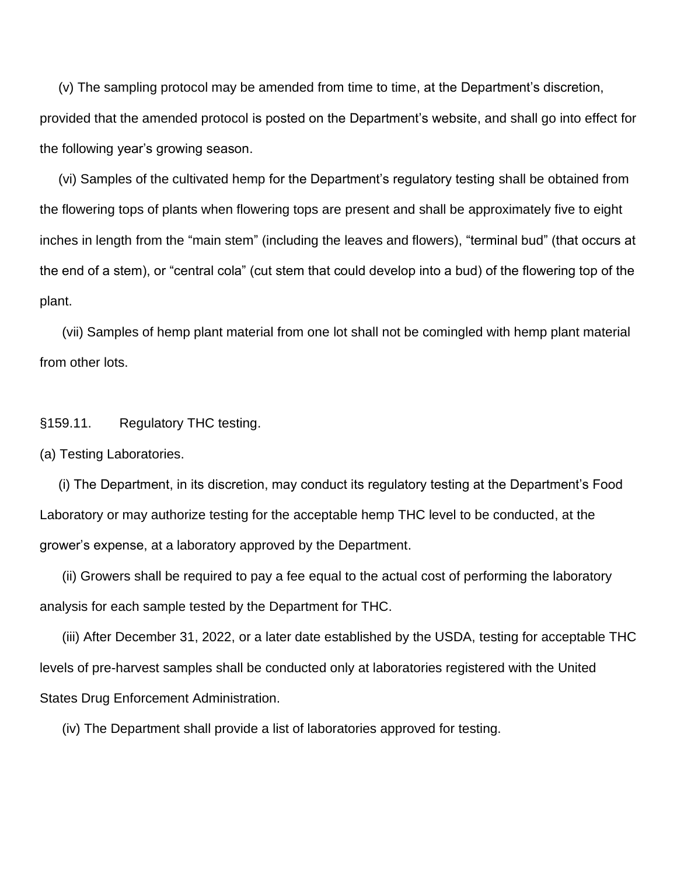(v) The sampling protocol may be amended from time to time, at the Department's discretion, provided that the amended protocol is posted on the Department's website, and shall go into effect for the following year's growing season.

 (vi) Samples of the cultivated hemp for the Department's regulatory testing shall be obtained from the flowering tops of plants when flowering tops are present and shall be approximately five to eight inches in length from the "main stem" (including the leaves and flowers), "terminal bud" (that occurs at the end of a stem), or "central cola" (cut stem that could develop into a bud) of the flowering top of the plant.

 (vii) Samples of hemp plant material from one lot shall not be comingled with hemp plant material from other lots.

#### §159.11. Regulatory THC testing.

(a) Testing Laboratories.

 (i) The Department, in its discretion, may conduct its regulatory testing at the Department's Food Laboratory or may authorize testing for the acceptable hemp THC level to be conducted, at the grower's expense, at a laboratory approved by the Department.

 (ii) Growers shall be required to pay a fee equal to the actual cost of performing the laboratory analysis for each sample tested by the Department for THC.

 (iii) After December 31, 2022, or a later date established by the USDA, testing for acceptable THC levels of pre-harvest samples shall be conducted only at laboratories registered with the United States Drug Enforcement Administration.

(iv) The Department shall provide a list of laboratories approved for testing.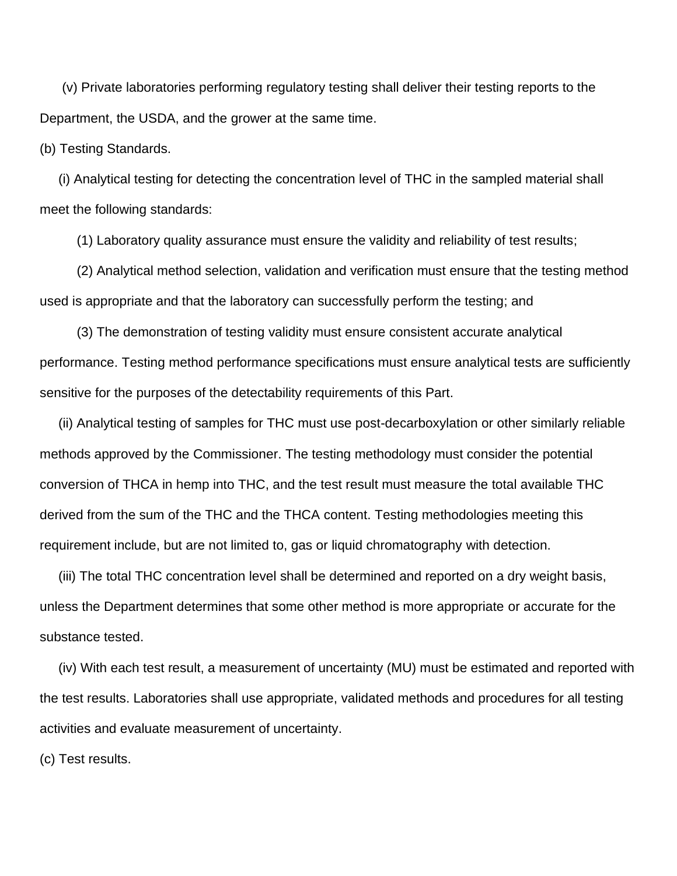(v) Private laboratories performing regulatory testing shall deliver their testing reports to the Department, the USDA, and the grower at the same time.

(b) Testing Standards.

 (i) Analytical testing for detecting the concentration level of THC in the sampled material shall meet the following standards:

(1) Laboratory quality assurance must ensure the validity and reliability of test results;

 (2) Analytical method selection, validation and verification must ensure that the testing method used is appropriate and that the laboratory can successfully perform the testing; and

 (3) The demonstration of testing validity must ensure consistent accurate analytical performance. Testing method performance specifications must ensure analytical tests are sufficiently sensitive for the purposes of the detectability requirements of this Part.

 (ii) Analytical testing of samples for THC must use post-decarboxylation or other similarly reliable methods approved by the Commissioner. The testing methodology must consider the potential conversion of THCA in hemp into THC, and the test result must measure the total available THC derived from the sum of the THC and the THCA content. Testing methodologies meeting this requirement include, but are not limited to, gas or liquid chromatography with detection.

 (iii) The total THC concentration level shall be determined and reported on a dry weight basis, unless the Department determines that some other method is more appropriate or accurate for the substance tested.

 (iv) With each test result, a measurement of uncertainty (MU) must be estimated and reported with the test results. Laboratories shall use appropriate, validated methods and procedures for all testing activities and evaluate measurement of uncertainty.

(c) Test results.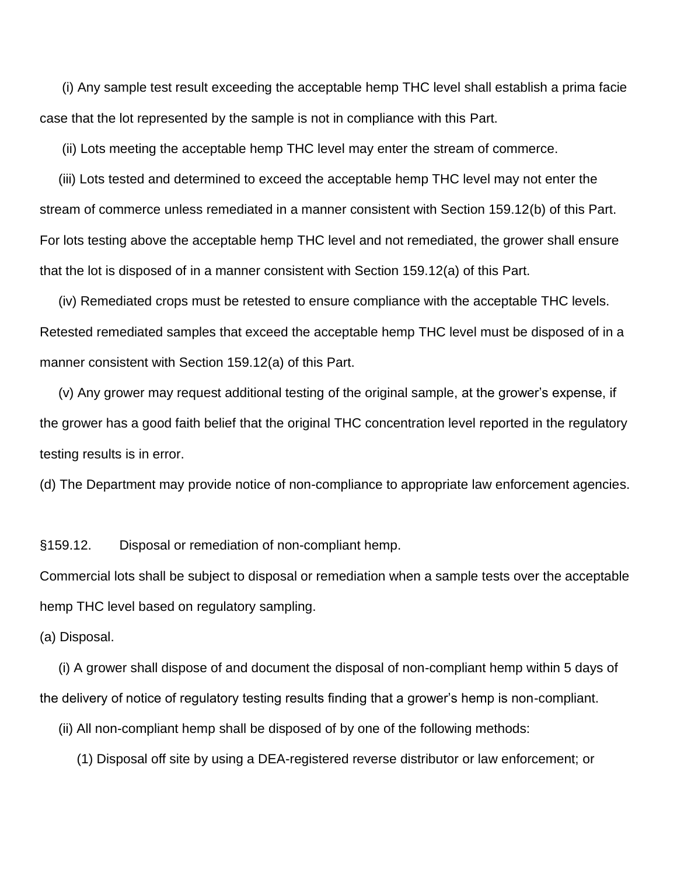(i) Any sample test result exceeding the acceptable hemp THC level shall establish a prima facie case that the lot represented by the sample is not in compliance with this Part.

(ii) Lots meeting the acceptable hemp THC level may enter the stream of commerce.

 (iii) Lots tested and determined to exceed the acceptable hemp THC level may not enter the stream of commerce unless remediated in a manner consistent with Section 159.12(b) of this Part. For lots testing above the acceptable hemp THC level and not remediated, the grower shall ensure that the lot is disposed of in a manner consistent with Section 159.12(a) of this Part.

 (iv) Remediated crops must be retested to ensure compliance with the acceptable THC levels. Retested remediated samples that exceed the acceptable hemp THC level must be disposed of in a manner consistent with Section 159.12(a) of this Part.

 (v) Any grower may request additional testing of the original sample, at the grower's expense, if the grower has a good faith belief that the original THC concentration level reported in the regulatory testing results is in error.

(d) The Department may provide notice of non-compliance to appropriate law enforcement agencies.

§159.12. Disposal or remediation of non-compliant hemp.

Commercial lots shall be subject to disposal or remediation when a sample tests over the acceptable hemp THC level based on regulatory sampling.

(a) Disposal.

 (i) A grower shall dispose of and document the disposal of non-compliant hemp within 5 days of the delivery of notice of regulatory testing results finding that a grower's hemp is non-compliant.

(ii) All non-compliant hemp shall be disposed of by one of the following methods:

(1) Disposal off site by using a DEA-registered reverse distributor or law enforcement; or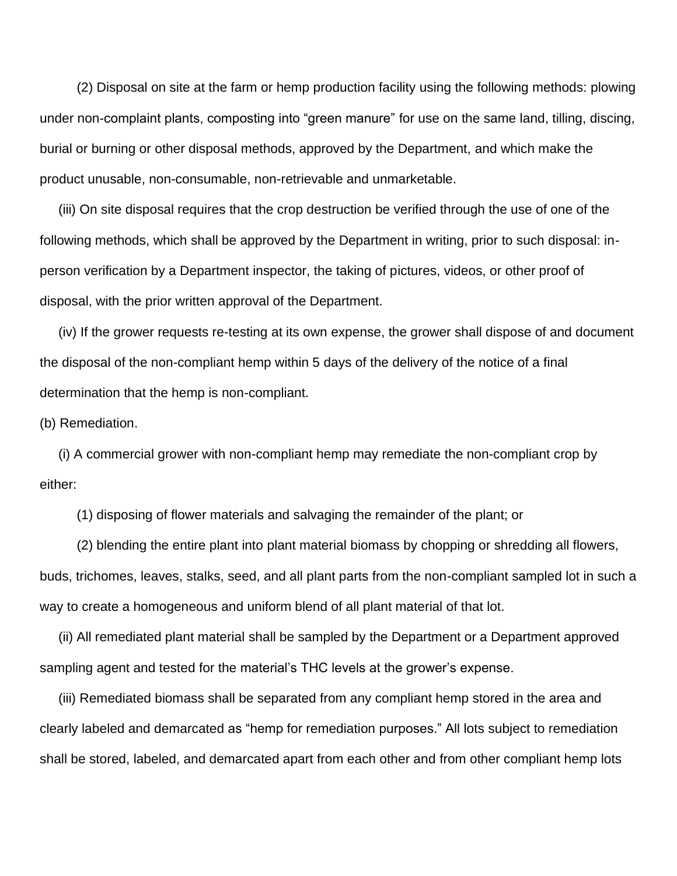(2) Disposal on site at the farm or hemp production facility using the following methods: plowing under non-complaint plants, composting into "green manure" for use on the same land, tilling, discing, burial or burning or other disposal methods, approved by the Department, and which make the product unusable, non-consumable, non-retrievable and unmarketable.

 (iii) On site disposal requires that the crop destruction be verified through the use of one of the following methods, which shall be approved by the Department in writing, prior to such disposal: inperson verification by a Department inspector, the taking of pictures, videos, or other proof of disposal, with the prior written approval of the Department.

 (iv) If the grower requests re-testing at its own expense, the grower shall dispose of and document the disposal of the non-compliant hemp within 5 days of the delivery of the notice of a final determination that the hemp is non-compliant.

(b) Remediation.

 (i) A commercial grower with non-compliant hemp may remediate the non-compliant crop by either:

(1) disposing of flower materials and salvaging the remainder of the plant; or

 (2) blending the entire plant into plant material biomass by chopping or shredding all flowers, buds, trichomes, leaves, stalks, seed, and all plant parts from the non-compliant sampled lot in such a way to create a homogeneous and uniform blend of all plant material of that lot.

 (ii) All remediated plant material shall be sampled by the Department or a Department approved sampling agent and tested for the material's THC levels at the grower's expense.

 (iii) Remediated biomass shall be separated from any compliant hemp stored in the area and clearly labeled and demarcated as "hemp for remediation purposes." All lots subject to remediation shall be stored, labeled, and demarcated apart from each other and from other compliant hemp lots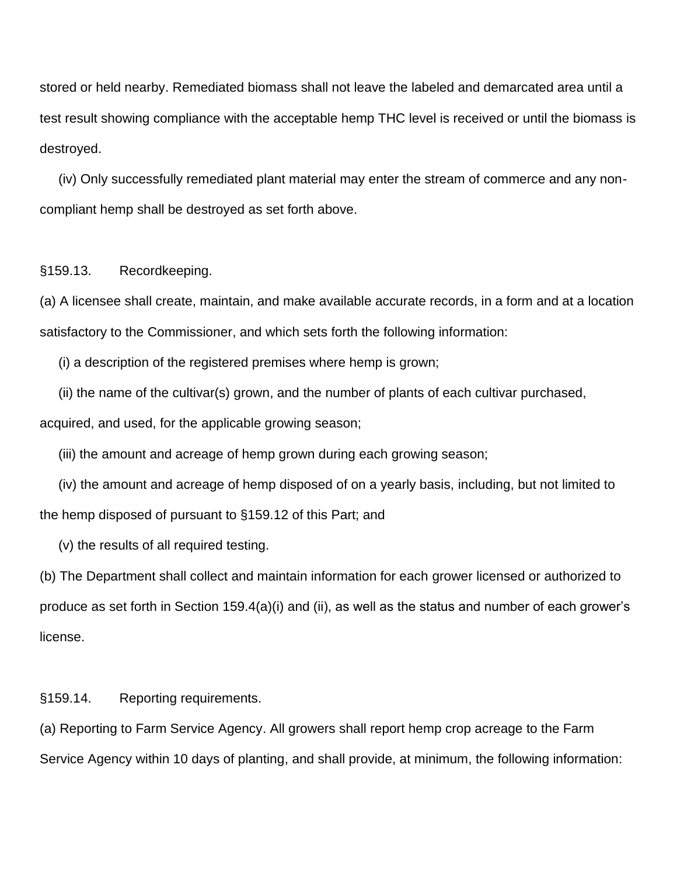stored or held nearby. Remediated biomass shall not leave the labeled and demarcated area until a test result showing compliance with the acceptable hemp THC level is received or until the biomass is destroyed.

 (iv) Only successfully remediated plant material may enter the stream of commerce and any noncompliant hemp shall be destroyed as set forth above.

### §159.13. Recordkeeping.

(a) A licensee shall create, maintain, and make available accurate records, in a form and at a location satisfactory to the Commissioner, and which sets forth the following information:

(i) a description of the registered premises where hemp is grown;

(ii) the name of the cultivar(s) grown, and the number of plants of each cultivar purchased,

acquired, and used, for the applicable growing season;

(iii) the amount and acreage of hemp grown during each growing season;

 (iv) the amount and acreage of hemp disposed of on a yearly basis, including, but not limited to the hemp disposed of pursuant to §159.12 of this Part; and

(v) the results of all required testing.

(b) The Department shall collect and maintain information for each grower licensed or authorized to produce as set forth in Section 159.4(a)(i) and (ii), as well as the status and number of each grower's license.

§159.14. Reporting requirements.

(a) Reporting to Farm Service Agency. All growers shall report hemp crop acreage to the Farm Service Agency within 10 days of planting, and shall provide, at minimum, the following information: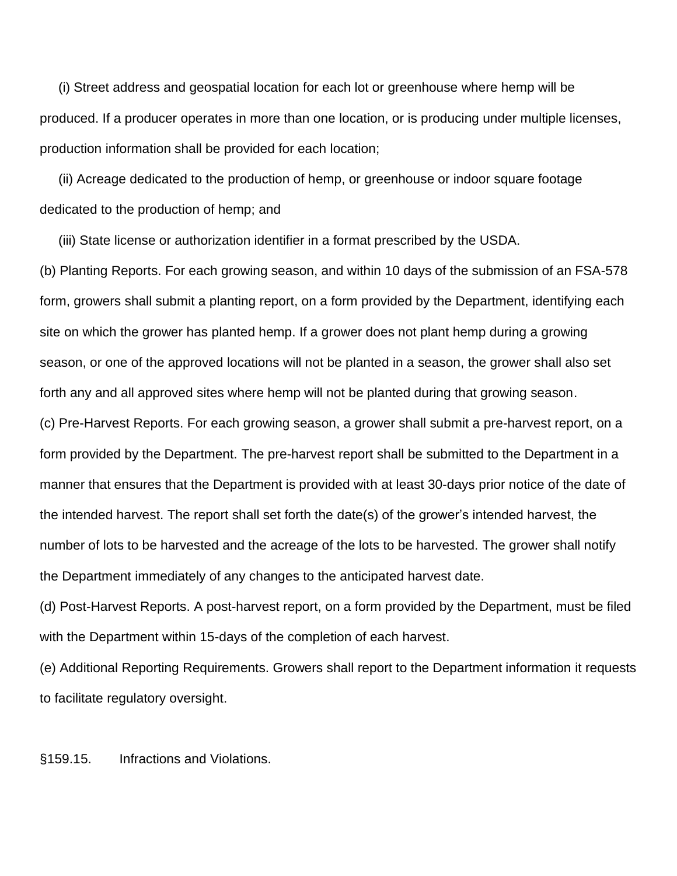(i) Street address and geospatial location for each lot or greenhouse where hemp will be produced. If a producer operates in more than one location, or is producing under multiple licenses, production information shall be provided for each location;

 (ii) Acreage dedicated to the production of hemp, or greenhouse or indoor square footage dedicated to the production of hemp; and

(iii) State license or authorization identifier in a format prescribed by the USDA.

(b) Planting Reports. For each growing season, and within 10 days of the submission of an FSA-578 form, growers shall submit a planting report, on a form provided by the Department, identifying each site on which the grower has planted hemp. If a grower does not plant hemp during a growing season, or one of the approved locations will not be planted in a season, the grower shall also set forth any and all approved sites where hemp will not be planted during that growing season. (c) Pre-Harvest Reports. For each growing season, a grower shall submit a pre-harvest report, on a form provided by the Department. The pre-harvest report shall be submitted to the Department in a manner that ensures that the Department is provided with at least 30-days prior notice of the date of the intended harvest. The report shall set forth the date(s) of the grower's intended harvest, the number of lots to be harvested and the acreage of the lots to be harvested. The grower shall notify the Department immediately of any changes to the anticipated harvest date.

(d) Post-Harvest Reports. A post-harvest report, on a form provided by the Department, must be filed with the Department within 15-days of the completion of each harvest.

(e) Additional Reporting Requirements. Growers shall report to the Department information it requests to facilitate regulatory oversight.

§159.15. Infractions and Violations.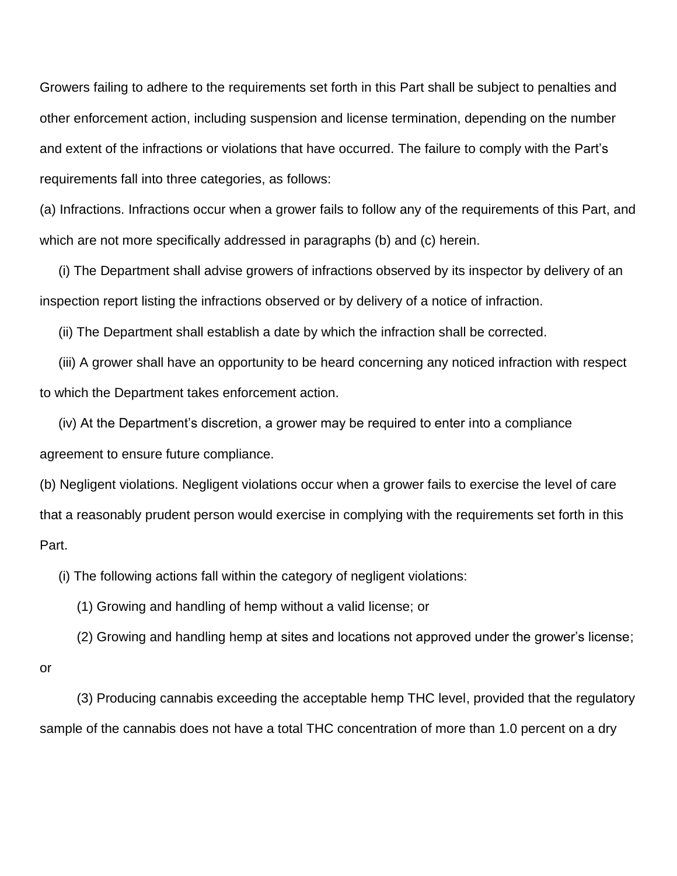Growers failing to adhere to the requirements set forth in this Part shall be subject to penalties and other enforcement action, including suspension and license termination, depending on the number and extent of the infractions or violations that have occurred. The failure to comply with the Part's requirements fall into three categories, as follows:

(a) Infractions. Infractions occur when a grower fails to follow any of the requirements of this Part, and which are not more specifically addressed in paragraphs (b) and (c) herein.

 (i) The Department shall advise growers of infractions observed by its inspector by delivery of an inspection report listing the infractions observed or by delivery of a notice of infraction.

(ii) The Department shall establish a date by which the infraction shall be corrected.

 (iii) A grower shall have an opportunity to be heard concerning any noticed infraction with respect to which the Department takes enforcement action.

 (iv) At the Department's discretion, a grower may be required to enter into a compliance agreement to ensure future compliance.

(b) Negligent violations. Negligent violations occur when a grower fails to exercise the level of care that a reasonably prudent person would exercise in complying with the requirements set forth in this Part.

(i) The following actions fall within the category of negligent violations:

(1) Growing and handling of hemp without a valid license; or

(2) Growing and handling hemp at sites and locations not approved under the grower's license;

or

 (3) Producing cannabis exceeding the acceptable hemp THC level, provided that the regulatory sample of the cannabis does not have a total THC concentration of more than 1.0 percent on a dry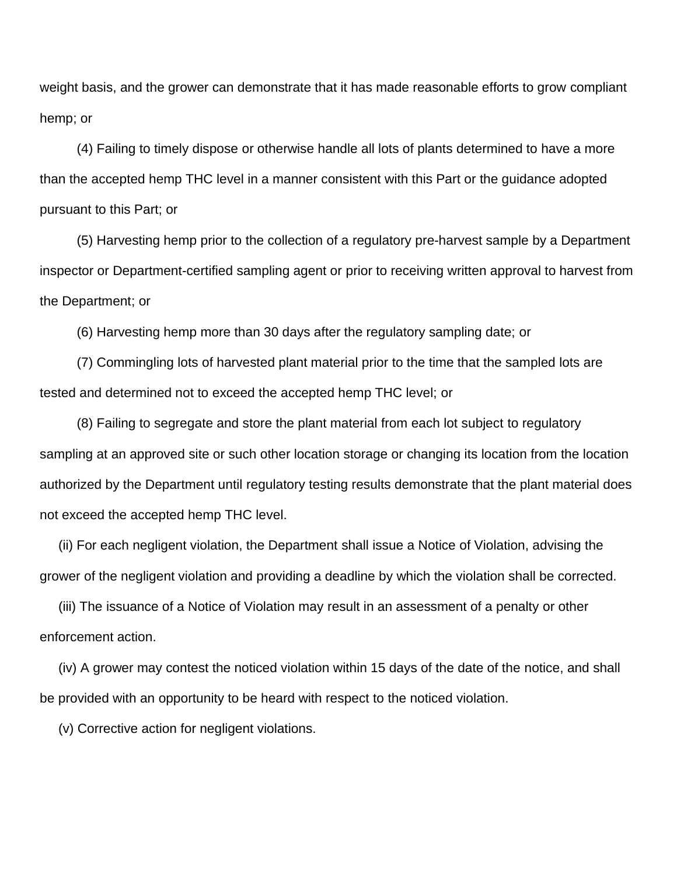weight basis, and the grower can demonstrate that it has made reasonable efforts to grow compliant hemp; or

 (4) Failing to timely dispose or otherwise handle all lots of plants determined to have a more than the accepted hemp THC level in a manner consistent with this Part or the guidance adopted pursuant to this Part; or

 (5) Harvesting hemp prior to the collection of a regulatory pre-harvest sample by a Department inspector or Department-certified sampling agent or prior to receiving written approval to harvest from the Department; or

(6) Harvesting hemp more than 30 days after the regulatory sampling date; or

 (7) Commingling lots of harvested plant material prior to the time that the sampled lots are tested and determined not to exceed the accepted hemp THC level; or

 (8) Failing to segregate and store the plant material from each lot subject to regulatory sampling at an approved site or such other location storage or changing its location from the location authorized by the Department until regulatory testing results demonstrate that the plant material does not exceed the accepted hemp THC level.

 (ii) For each negligent violation, the Department shall issue a Notice of Violation, advising the grower of the negligent violation and providing a deadline by which the violation shall be corrected.

 (iii) The issuance of a Notice of Violation may result in an assessment of a penalty or other enforcement action.

 (iv) A grower may contest the noticed violation within 15 days of the date of the notice, and shall be provided with an opportunity to be heard with respect to the noticed violation.

(v) Corrective action for negligent violations.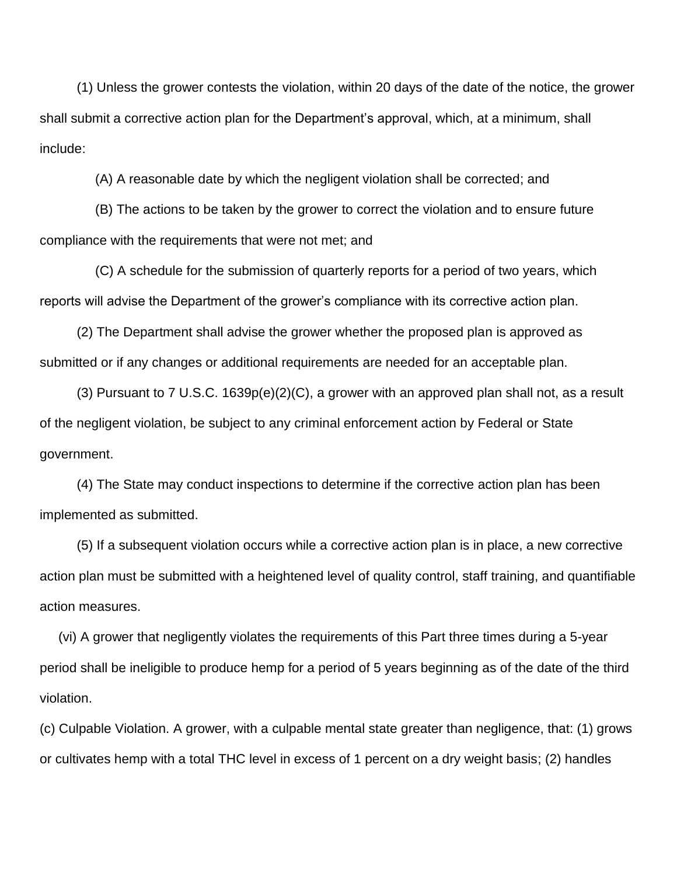(1) Unless the grower contests the violation, within 20 days of the date of the notice, the grower shall submit a corrective action plan for the Department's approval, which, at a minimum, shall include:

(A) A reasonable date by which the negligent violation shall be corrected; and

 (B) The actions to be taken by the grower to correct the violation and to ensure future compliance with the requirements that were not met; and

 (C) A schedule for the submission of quarterly reports for a period of two years, which reports will advise the Department of the grower's compliance with its corrective action plan.

 (2) The Department shall advise the grower whether the proposed plan is approved as submitted or if any changes or additional requirements are needed for an acceptable plan.

 (3) Pursuant to 7 U.S.C. 1639p(e)(2)(C), a grower with an approved plan shall not, as a result of the negligent violation, be subject to any criminal enforcement action by Federal or State government.

 (4) The State may conduct inspections to determine if the corrective action plan has been implemented as submitted.

 (5) If a subsequent violation occurs while a corrective action plan is in place, a new corrective action plan must be submitted with a heightened level of quality control, staff training, and quantifiable action measures.

 (vi) A grower that negligently violates the requirements of this Part three times during a 5-year period shall be ineligible to produce hemp for a period of 5 years beginning as of the date of the third violation.

(c) Culpable Violation. A grower, with a culpable mental state greater than negligence, that: (1) grows or cultivates hemp with a total THC level in excess of 1 percent on a dry weight basis; (2) handles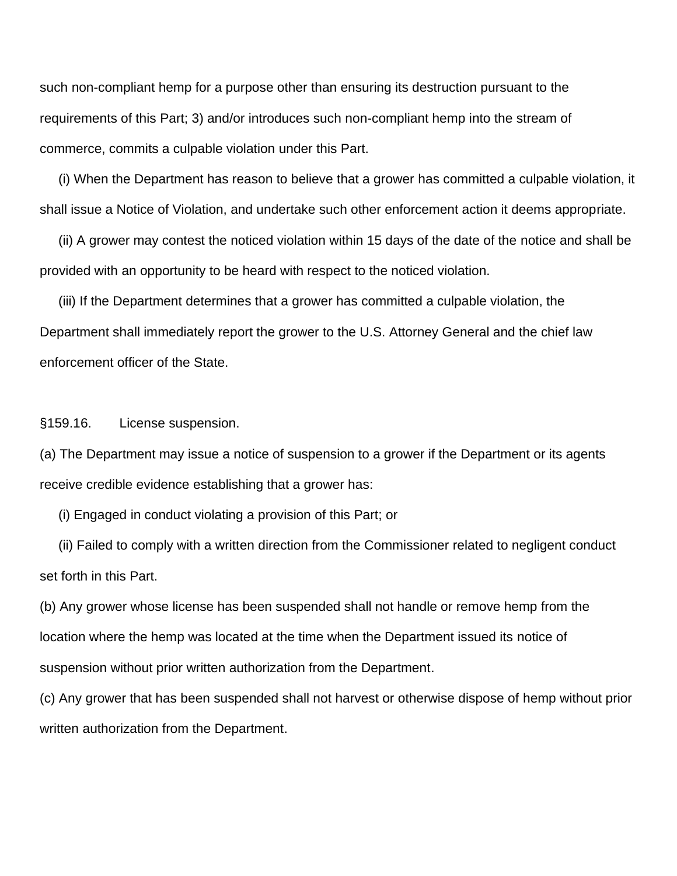such non-compliant hemp for a purpose other than ensuring its destruction pursuant to the requirements of this Part; 3) and/or introduces such non-compliant hemp into the stream of commerce, commits a culpable violation under this Part.

 (i) When the Department has reason to believe that a grower has committed a culpable violation, it shall issue a Notice of Violation, and undertake such other enforcement action it deems appropriate.

 (ii) A grower may contest the noticed violation within 15 days of the date of the notice and shall be provided with an opportunity to be heard with respect to the noticed violation.

 (iii) If the Department determines that a grower has committed a culpable violation, the Department shall immediately report the grower to the U.S. Attorney General and the chief law enforcement officer of the State.

§159.16. License suspension.

(a) The Department may issue a notice of suspension to a grower if the Department or its agents receive credible evidence establishing that a grower has:

(i) Engaged in conduct violating a provision of this Part; or

 (ii) Failed to comply with a written direction from the Commissioner related to negligent conduct set forth in this Part.

(b) Any grower whose license has been suspended shall not handle or remove hemp from the location where the hemp was located at the time when the Department issued its notice of suspension without prior written authorization from the Department.

(c) Any grower that has been suspended shall not harvest or otherwise dispose of hemp without prior written authorization from the Department.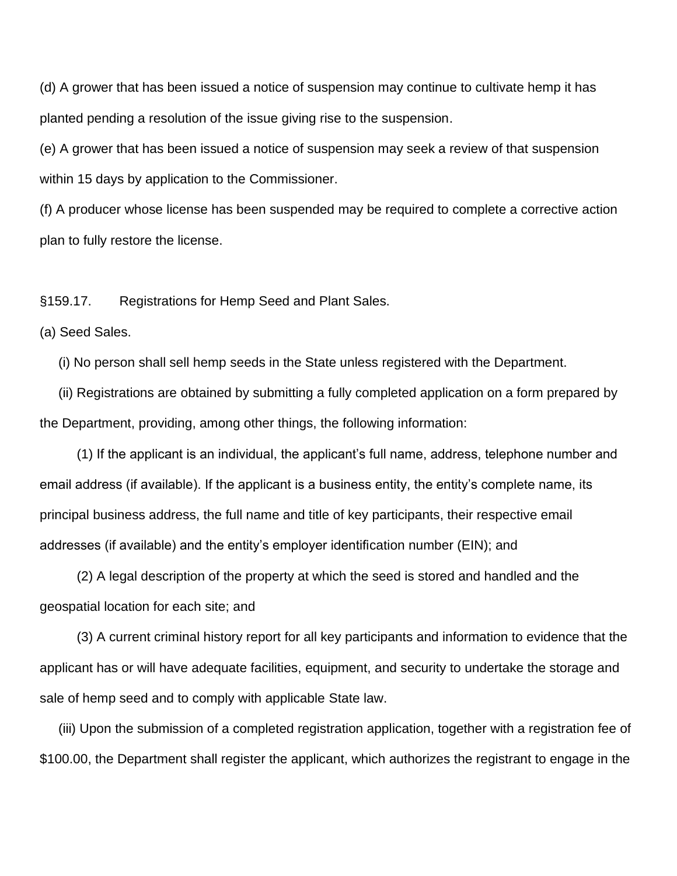(d) A grower that has been issued a notice of suspension may continue to cultivate hemp it has planted pending a resolution of the issue giving rise to the suspension.

(e) A grower that has been issued a notice of suspension may seek a review of that suspension within 15 days by application to the Commissioner.

(f) A producer whose license has been suspended may be required to complete a corrective action plan to fully restore the license.

§159.17. Registrations for Hemp Seed and Plant Sales.

### (a) Seed Sales.

(i) No person shall sell hemp seeds in the State unless registered with the Department.

 (ii) Registrations are obtained by submitting a fully completed application on a form prepared by the Department, providing, among other things, the following information:

 (1) If the applicant is an individual, the applicant's full name, address, telephone number and email address (if available). If the applicant is a business entity, the entity's complete name, its principal business address, the full name and title of key participants, their respective email addresses (if available) and the entity's employer identification number (EIN); and

 (2) A legal description of the property at which the seed is stored and handled and the geospatial location for each site; and

 (3) A current criminal history report for all key participants and information to evidence that the applicant has or will have adequate facilities, equipment, and security to undertake the storage and sale of hemp seed and to comply with applicable State law.

 (iii) Upon the submission of a completed registration application, together with a registration fee of \$100.00, the Department shall register the applicant, which authorizes the registrant to engage in the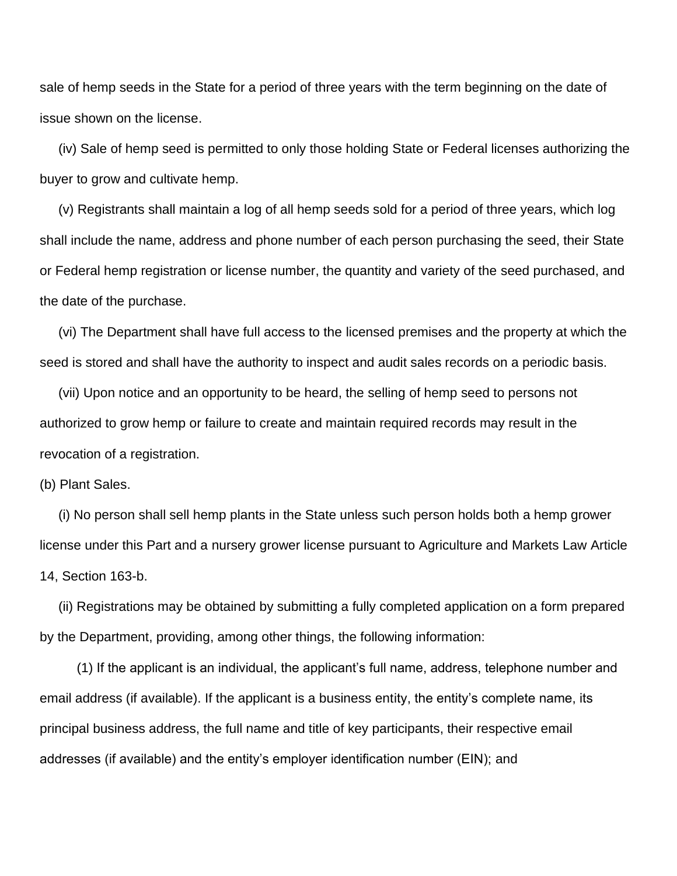sale of hemp seeds in the State for a period of three years with the term beginning on the date of issue shown on the license.

 (iv) Sale of hemp seed is permitted to only those holding State or Federal licenses authorizing the buyer to grow and cultivate hemp.

 (v) Registrants shall maintain a log of all hemp seeds sold for a period of three years, which log shall include the name, address and phone number of each person purchasing the seed, their State or Federal hemp registration or license number, the quantity and variety of the seed purchased, and the date of the purchase.

 (vi) The Department shall have full access to the licensed premises and the property at which the seed is stored and shall have the authority to inspect and audit sales records on a periodic basis.

 (vii) Upon notice and an opportunity to be heard, the selling of hemp seed to persons not authorized to grow hemp or failure to create and maintain required records may result in the revocation of a registration.

(b) Plant Sales.

 (i) No person shall sell hemp plants in the State unless such person holds both a hemp grower license under this Part and a nursery grower license pursuant to Agriculture and Markets Law Article 14, Section 163-b.

 (ii) Registrations may be obtained by submitting a fully completed application on a form prepared by the Department, providing, among other things, the following information:

 (1) If the applicant is an individual, the applicant's full name, address, telephone number and email address (if available). If the applicant is a business entity, the entity's complete name, its principal business address, the full name and title of key participants, their respective email addresses (if available) and the entity's employer identification number (EIN); and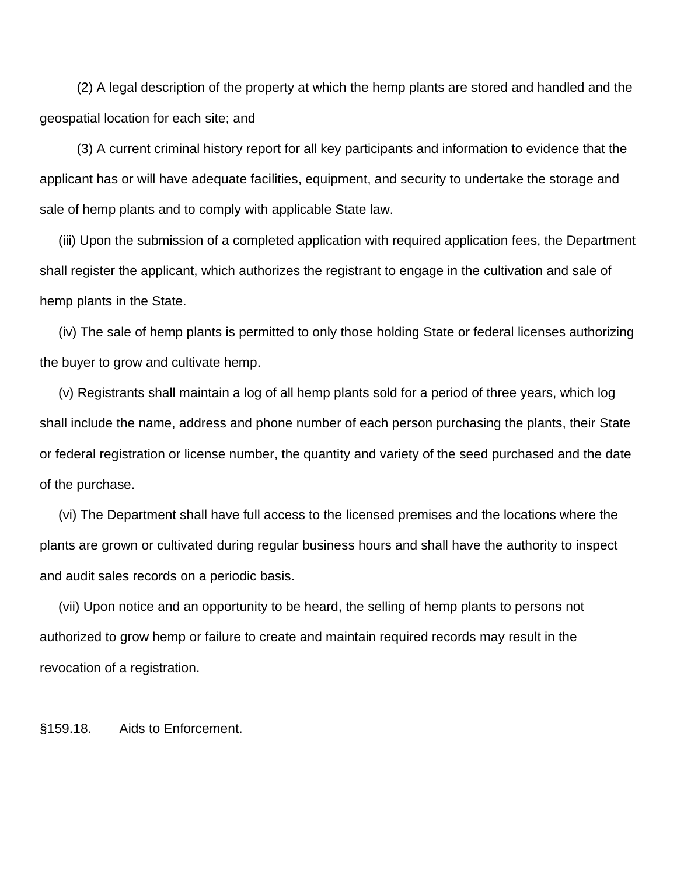(2) A legal description of the property at which the hemp plants are stored and handled and the geospatial location for each site; and

 (3) A current criminal history report for all key participants and information to evidence that the applicant has or will have adequate facilities, equipment, and security to undertake the storage and sale of hemp plants and to comply with applicable State law.

 (iii) Upon the submission of a completed application with required application fees, the Department shall register the applicant, which authorizes the registrant to engage in the cultivation and sale of hemp plants in the State.

 (iv) The sale of hemp plants is permitted to only those holding State or federal licenses authorizing the buyer to grow and cultivate hemp.

 (v) Registrants shall maintain a log of all hemp plants sold for a period of three years, which log shall include the name, address and phone number of each person purchasing the plants, their State or federal registration or license number, the quantity and variety of the seed purchased and the date of the purchase.

 (vi) The Department shall have full access to the licensed premises and the locations where the plants are grown or cultivated during regular business hours and shall have the authority to inspect and audit sales records on a periodic basis.

 (vii) Upon notice and an opportunity to be heard, the selling of hemp plants to persons not authorized to grow hemp or failure to create and maintain required records may result in the revocation of a registration.

§159.18. Aids to Enforcement.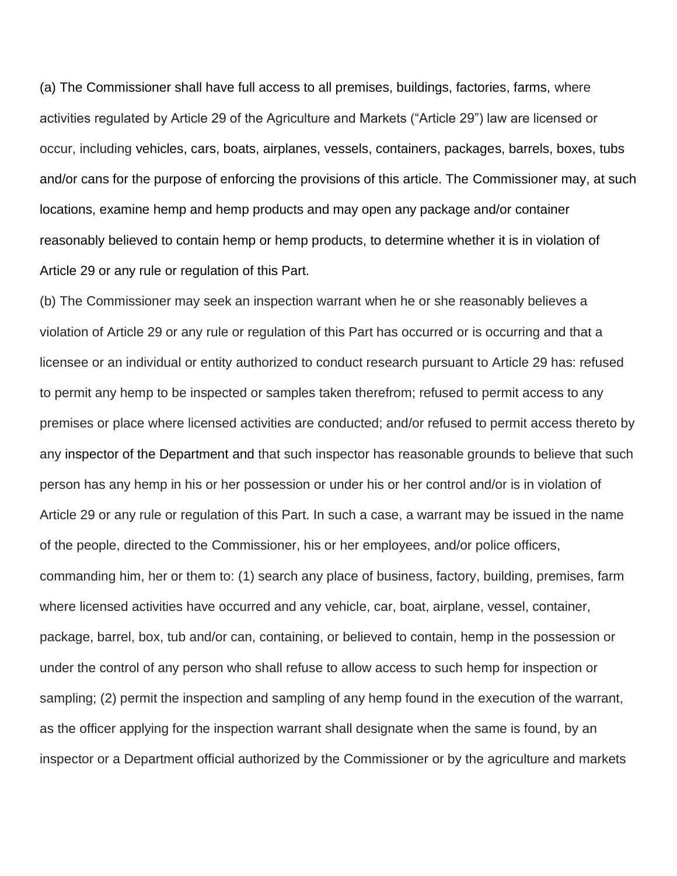(a) The Commissioner shall have full access to all premises, buildings, factories, farms, where activities regulated by Article 29 of the Agriculture and Markets ("Article 29") law are licensed or occur, including vehicles, cars, boats, airplanes, vessels, containers, packages, barrels, boxes, tubs and/or cans for the purpose of enforcing the provisions of this article. The Commissioner may, at such locations, examine hemp and hemp products and may open any package and/or container reasonably believed to contain hemp or hemp products, to determine whether it is in violation of Article 29 or any rule or regulation of this Part.

(b) The Commissioner may seek an inspection warrant when he or she reasonably believes a violation of Article 29 or any rule or regulation of this Part has occurred or is occurring and that a licensee or an individual or entity authorized to conduct research pursuant to Article 29 has: refused to permit any hemp to be inspected or samples taken therefrom; refused to permit access to any premises or place where licensed activities are conducted; and/or refused to permit access thereto by any inspector [of the Department](https://1.next.westlaw.com/Link/Document/FullText?findType=L&pubNum=1000049&cite=NYAMS51&originatingDoc=N786C12B0884111D882FF83A3182D7B4A&refType=LQ&originationContext=document&transitionType=DocumentItem&contextData=(sc.Category)) and that such inspector has reasonable grounds to believe that such person has any hemp in his or her possession or under his or her control and/or is in violation of Article 29 or any rule or regulation of this Part. In such a case, a warrant may be issued in the name of the people, directed to the Commissioner, his or her employees, and/or police officers, commanding him, her or them to: (1) search any place of business, factory, building, premises, farm where licensed activities have occurred and any vehicle, car, boat, airplane, vessel, container, package, barrel, box, tub and/or can, containing, or believed to contain, hemp in the possession or under the control of any person who shall refuse to allow access to such hemp for inspection or sampling; (2) permit the inspection and sampling of any hemp found in the execution of the warrant, as the officer applying for the inspection warrant shall designate when the same is found, by an inspector or a Department official authorized by the Commissioner or by the agriculture and markets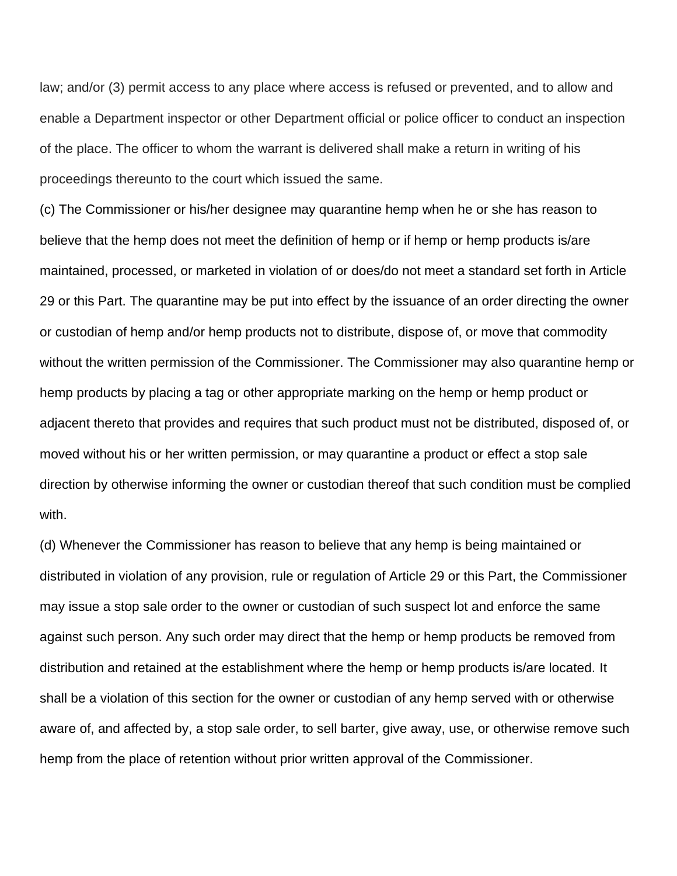law; and/or (3) permit access to any place where access is refused or prevented, and to allow and enable a Department inspector or other Department official or police officer to conduct an inspection of the place. The officer to whom the warrant is delivered shall make a return in writing of his proceedings thereunto to the court which issued the same.

(c) The Commissioner or his/her designee may quarantine hemp when he or she has reason to believe that the hemp does not meet the definition of hemp or if hemp or hemp products is/are maintained, processed, or marketed in violation of or does/do not meet a standard set forth in Article 29 or this Part. The quarantine may be put into effect by the issuance of an order directing the owner or custodian of hemp and/or hemp products not to distribute, dispose of, or move that commodity without the written permission of the Commissioner. The Commissioner may also quarantine hemp or hemp products by placing a tag or other appropriate marking on the hemp or hemp product or adjacent thereto that provides and requires that such product must not be distributed, disposed of, or moved without his or her written permission, or may quarantine a product or effect a stop sale direction by otherwise informing the owner or custodian thereof that such condition must be complied with.

(d) Whenever the Commissioner has reason to believe that any hemp is being maintained or distributed in violation of any provision, rule or regulation of Article 29 or this Part, the Commissioner may issue a stop sale order to the owner or custodian of such suspect lot and enforce the same against such person. Any such order may direct that the hemp or hemp products be removed from distribution and retained at the establishment where the hemp or hemp products is/are located. It shall be a violation of this section for the owner or custodian of any hemp served with or otherwise aware of, and affected by, a stop sale order, to sell barter, give away, use, or otherwise remove such hemp from the place of retention without prior written approval of the Commissioner.